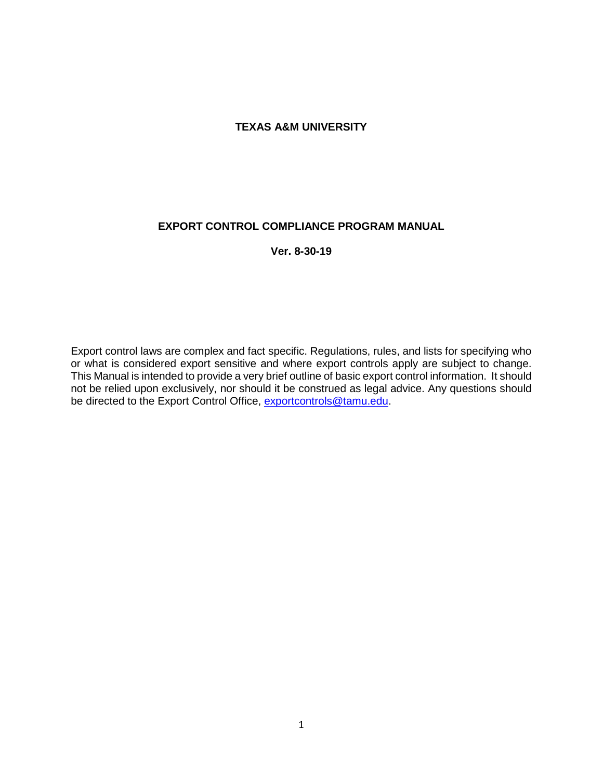#### **TEXAS A&M UNIVERSITY**

#### **EXPORT CONTROL COMPLIANCE PROGRAM MANUAL**

**Ver. 8-30-19**

Export control laws are complex and fact specific. Regulations, rules, and lists for specifying who or what is considered export sensitive and where export controls apply are subject to change. This Manual is intended to provide a very brief outline of basic export control information. It should not be relied upon exclusively, nor should it be construed as legal advice. Any questions should be directed to the Export Control Office, [exportcontrols@tamu.edu.](mailto:exportcontrols@tamu.edu)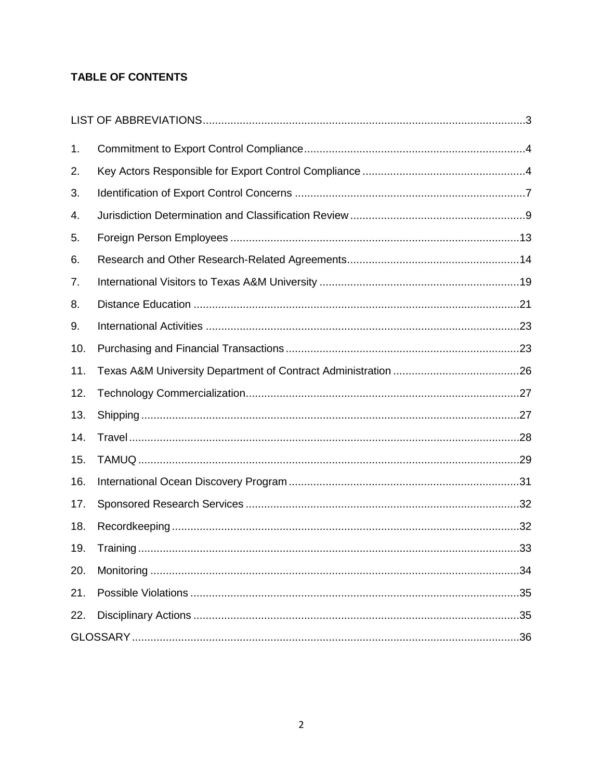# **TABLE OF CONTENTS**

| 1.  |  |  |  |
|-----|--|--|--|
| 2.  |  |  |  |
| 3.  |  |  |  |
| 4.  |  |  |  |
| 5.  |  |  |  |
| 6.  |  |  |  |
| 7.  |  |  |  |
| 8.  |  |  |  |
| 9.  |  |  |  |
| 10. |  |  |  |
| 11. |  |  |  |
| 12. |  |  |  |
| 13. |  |  |  |
| 14. |  |  |  |
| 15. |  |  |  |
| 16. |  |  |  |
| 17. |  |  |  |
| 18. |  |  |  |
| 19. |  |  |  |
| 20. |  |  |  |
| 21. |  |  |  |
| 22. |  |  |  |
|     |  |  |  |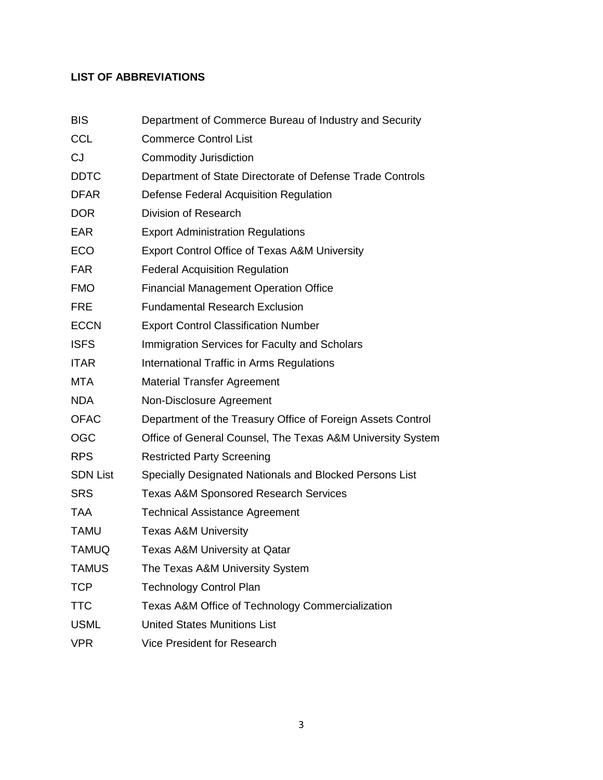# **LIST OF ABBREVIATIONS**

| <b>BIS</b>      | Department of Commerce Bureau of Industry and Security      |
|-----------------|-------------------------------------------------------------|
| <b>CCL</b>      | <b>Commerce Control List</b>                                |
| CJ              | <b>Commodity Jurisdiction</b>                               |
| <b>DDTC</b>     | Department of State Directorate of Defense Trade Controls   |
| <b>DFAR</b>     | Defense Federal Acquisition Regulation                      |
| <b>DOR</b>      | Division of Research                                        |
| <b>EAR</b>      | <b>Export Administration Regulations</b>                    |
| <b>ECO</b>      | <b>Export Control Office of Texas A&amp;M University</b>    |
| <b>FAR</b>      | <b>Federal Acquisition Regulation</b>                       |
| <b>FMO</b>      | <b>Financial Management Operation Office</b>                |
| <b>FRE</b>      | <b>Fundamental Research Exclusion</b>                       |
| <b>ECCN</b>     | <b>Export Control Classification Number</b>                 |
| <b>ISFS</b>     | Immigration Services for Faculty and Scholars               |
| <b>ITAR</b>     | International Traffic in Arms Regulations                   |
| <b>MTA</b>      | <b>Material Transfer Agreement</b>                          |
| <b>NDA</b>      | Non-Disclosure Agreement                                    |
| <b>OFAC</b>     | Department of the Treasury Office of Foreign Assets Control |
| <b>OGC</b>      | Office of General Counsel, The Texas A&M University System  |
| <b>RPS</b>      | <b>Restricted Party Screening</b>                           |
| <b>SDN List</b> | Specially Designated Nationals and Blocked Persons List     |
| <b>SRS</b>      | <b>Texas A&amp;M Sponsored Research Services</b>            |
| <b>TAA</b>      | <b>Technical Assistance Agreement</b>                       |
| <b>TAMU</b>     | <b>Texas A&amp;M University</b>                             |
| <b>TAMUQ</b>    | <b>Texas A&amp;M University at Qatar</b>                    |
| <b>TAMUS</b>    | The Texas A&M University System                             |
| <b>TCP</b>      | <b>Technology Control Plan</b>                              |
| <b>TTC</b>      | Texas A&M Office of Technology Commercialization            |
| <b>USML</b>     | <b>United States Munitions List</b>                         |
| <b>VPR</b>      | <b>Vice President for Research</b>                          |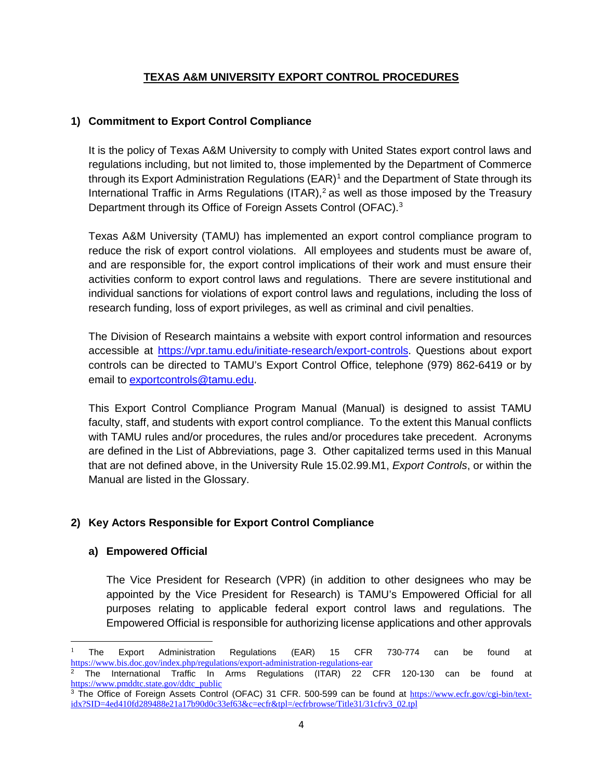## **TEXAS A&M UNIVERSITY EXPORT CONTROL PROCEDURES**

## **1) Commitment to Export Control Compliance**

It is the policy of Texas A&M University to comply with United States export control laws and regulations including, but not limited to, those implemented by the Department of Commerce through its Export Administration Regulations  $(EAR)^1$  $(EAR)^1$  and the Department of State through its International Traffic in Arms Regulations (ITAR),<sup>2</sup> as well as those imposed by the Treasury Department through its Office of Foreign Assets Control (OFAC).[3](#page-3-2)

Texas A&M University (TAMU) has implemented an export control compliance program to reduce the risk of export control violations. All employees and students must be aware of, and are responsible for, the export control implications of their work and must ensure their activities conform to export control laws and regulations. There are severe institutional and individual sanctions for violations of export control laws and regulations, including the loss of research funding, loss of export privileges, as well as criminal and civil penalties.

The Division of Research maintains a website with export control information and resources accessible at [https://vpr.tamu.edu/initiate-research/export-controls.](https://vpr.tamu.edu/initiate-research/export-controls) Questions about export controls can be directed to TAMU's Export Control Office, telephone (979) 862-6419 or by email to [exportcontrols@tamu.edu.](mailto:exportcontrols@tamu.edu)

This Export Control Compliance Program Manual (Manual) is designed to assist TAMU faculty, staff, and students with export control compliance. To the extent this Manual conflicts with TAMU rules and/or procedures, the rules and/or procedures take precedent. Acronyms are defined in the List of Abbreviations, page 3. Other capitalized terms used in this Manual that are not defined above, in the University Rule 15.02.99.M1, *Export Controls*, or within the Manual are listed in the Glossary.

# **2) Key Actors Responsible for Export Control Compliance**

## **a) Empowered Official**

l

The Vice President for Research (VPR) (in addition to other designees who may be appointed by the Vice President for Research) is TAMU's Empowered Official for all purposes relating to applicable federal export control laws and regulations. The Empowered Official is responsible for authorizing license applications and other approvals

<span id="page-3-0"></span><sup>1</sup> The Export Administration Regulations (EAR) 15 CFR 730-774 can be found at <https://www.bis.doc.gov/index.php/regulations/export-administration-regulations-ear>

<span id="page-3-1"></span><sup>2</sup> The International Traffic In Arms Regulations (ITAR) 22 CFR 120-130 can be found at [https://www.pmddtc.state.gov/ddtc\\_public](https://www.pmddtc.state.gov/ddtc_public)

<span id="page-3-2"></span><sup>&</sup>lt;sup>3</sup> The Office of Foreign Assets Control (OFAC) 31 CFR. 500-599 can be found at [https://www.ecfr.gov/cgi-bin/text](https://www.ecfr.gov/cgi-bin/text-idx?SID=4ed410fd289488e21a17b90d0c33ef63&c=ecfr&tpl=/ecfrbrowse/Title31/31cfrv3_02.tpl)[idx?SID=4ed410fd289488e21a17b90d0c33ef63&c=ecfr&tpl=/ecfrbrowse/Title31/31cfrv3\\_02.tpl](https://www.ecfr.gov/cgi-bin/text-idx?SID=4ed410fd289488e21a17b90d0c33ef63&c=ecfr&tpl=/ecfrbrowse/Title31/31cfrv3_02.tpl)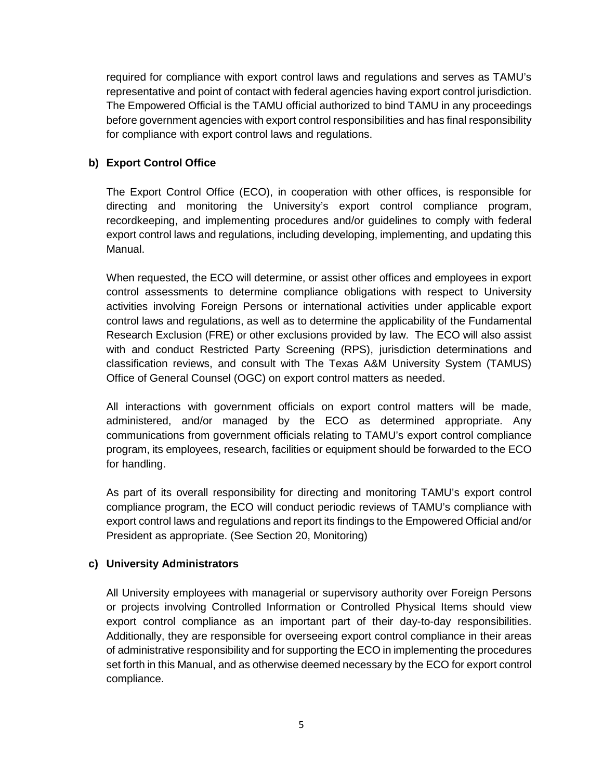required for compliance with export control laws and regulations and serves as TAMU's representative and point of contact with federal agencies having export control jurisdiction. The Empowered Official is the TAMU official authorized to bind TAMU in any proceedings before government agencies with export control responsibilities and has final responsibility for compliance with export control laws and regulations.

## **b) Export Control Office**

The Export Control Office (ECO), in cooperation with other offices, is responsible for directing and monitoring the University's export control compliance program, recordkeeping, and implementing procedures and/or guidelines to comply with federal export control laws and regulations, including developing, implementing, and updating this Manual.

When requested, the ECO will determine, or assist other offices and employees in export control assessments to determine compliance obligations with respect to University activities involving Foreign Persons or international activities under applicable export control laws and regulations, as well as to determine the applicability of the Fundamental Research Exclusion (FRE) or other exclusions provided by law. The ECO will also assist with and conduct Restricted Party Screening (RPS), jurisdiction determinations and classification reviews, and consult with The Texas A&M University System (TAMUS) Office of General Counsel (OGC) on export control matters as needed.

All interactions with government officials on export control matters will be made, administered, and/or managed by the ECO as determined appropriate. Any communications from government officials relating to TAMU's export control compliance program, its employees, research, facilities or equipment should be forwarded to the ECO for handling.

As part of its overall responsibility for directing and monitoring TAMU's export control compliance program, the ECO will conduct periodic reviews of TAMU's compliance with export control laws and regulations and report its findings to the Empowered Official and/or President as appropriate. (See Section 20, Monitoring)

## **c) University Administrators**

All University employees with managerial or supervisory authority over Foreign Persons or projects involving Controlled Information or Controlled Physical Items should view export control compliance as an important part of their day-to-day responsibilities. Additionally, they are responsible for overseeing export control compliance in their areas of administrative responsibility and for supporting the ECO in implementing the procedures set forth in this Manual, and as otherwise deemed necessary by the ECO for export control compliance.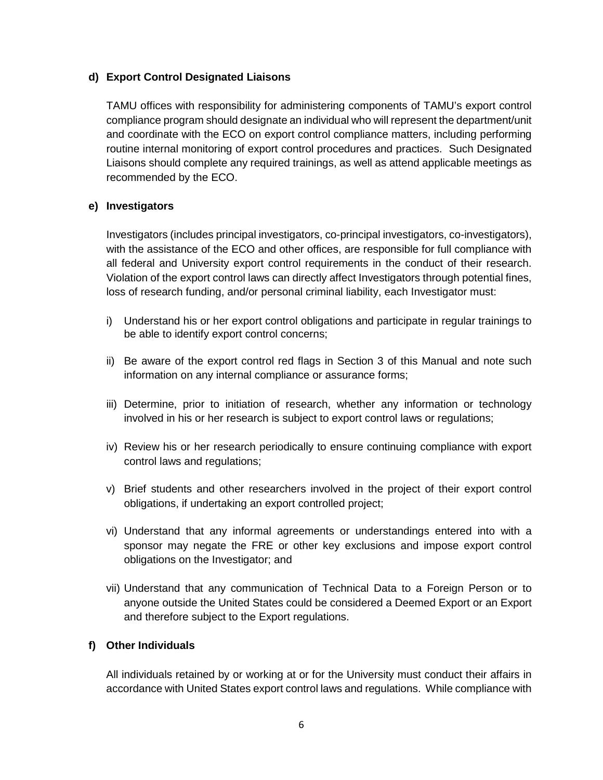### **d) Export Control Designated Liaisons**

TAMU offices with responsibility for administering components of TAMU's export control compliance program should designate an individual who will represent the department/unit and coordinate with the ECO on export control compliance matters, including performing routine internal monitoring of export control procedures and practices. Such Designated Liaisons should complete any required trainings, as well as attend applicable meetings as recommended by the ECO.

### **e) Investigators**

Investigators (includes principal investigators, co-principal investigators, co-investigators), with the assistance of the ECO and other offices, are responsible for full compliance with all federal and University export control requirements in the conduct of their research. Violation of the export control laws can directly affect Investigators through potential fines, loss of research funding, and/or personal criminal liability, each Investigator must:

- i) Understand his or her export control obligations and participate in regular trainings to be able to identify export control concerns;
- ii) Be aware of the export control red flags in Section 3 of this Manual and note such information on any internal compliance or assurance forms;
- iii) Determine, prior to initiation of research, whether any information or technology involved in his or her research is subject to export control laws or regulations;
- iv) Review his or her research periodically to ensure continuing compliance with export control laws and regulations;
- v) Brief students and other researchers involved in the project of their export control obligations, if undertaking an export controlled project;
- vi) Understand that any informal agreements or understandings entered into with a sponsor may negate the FRE or other key exclusions and impose export control obligations on the Investigator; and
- vii) Understand that any communication of Technical Data to a Foreign Person or to anyone outside the United States could be considered a Deemed Export or an Export and therefore subject to the Export regulations.

#### **f) Other Individuals**

All individuals retained by or working at or for the University must conduct their affairs in accordance with United States export control laws and regulations. While compliance with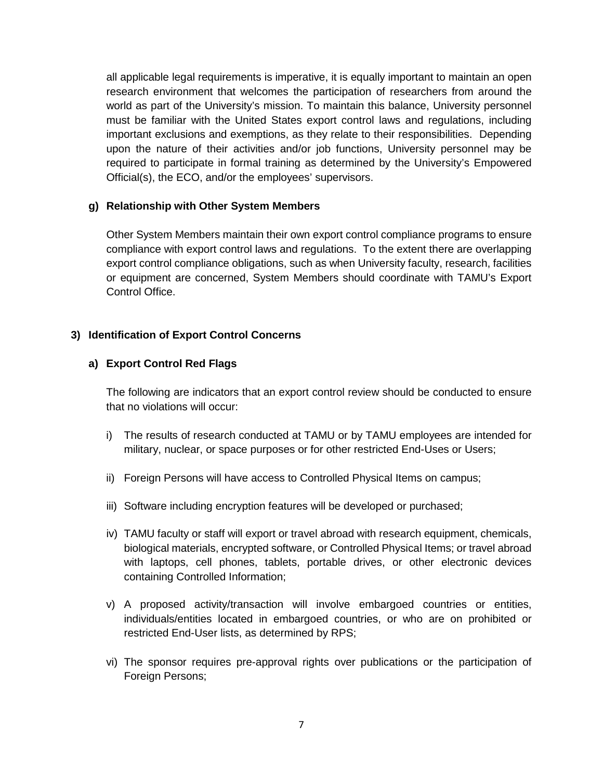all applicable legal requirements is imperative, it is equally important to maintain an open research environment that welcomes the participation of researchers from around the world as part of the University's mission. To maintain this balance, University personnel must be familiar with the United States export control laws and regulations, including important exclusions and exemptions, as they relate to their responsibilities. Depending upon the nature of their activities and/or job functions, University personnel may be required to participate in formal training as determined by the University's Empowered Official(s), the ECO, and/or the employees' supervisors.

#### **g) Relationship with Other System Members**

Other System Members maintain their own export control compliance programs to ensure compliance with export control laws and regulations. To the extent there are overlapping export control compliance obligations, such as when University faculty, research, facilities or equipment are concerned, System Members should coordinate with TAMU's Export Control Office.

#### **3) Identification of Export Control Concerns**

#### **a) Export Control Red Flags**

The following are indicators that an export control review should be conducted to ensure that no violations will occur:

- i) The results of research conducted at TAMU or by TAMU employees are intended for military, nuclear, or space purposes or for other restricted End-Uses or Users;
- ii) Foreign Persons will have access to Controlled Physical Items on campus;
- iii) Software including encryption features will be developed or purchased;
- iv) TAMU faculty or staff will export or travel abroad with research equipment, chemicals, biological materials, encrypted software, or Controlled Physical Items; or travel abroad with laptops, cell phones, tablets, portable drives, or other electronic devices containing Controlled Information;
- v) A proposed activity/transaction will involve embargoed countries or entities, individuals/entities located in embargoed countries, or who are on prohibited or restricted End-User lists, as determined by RPS;
- vi) The sponsor requires pre-approval rights over publications or the participation of Foreign Persons;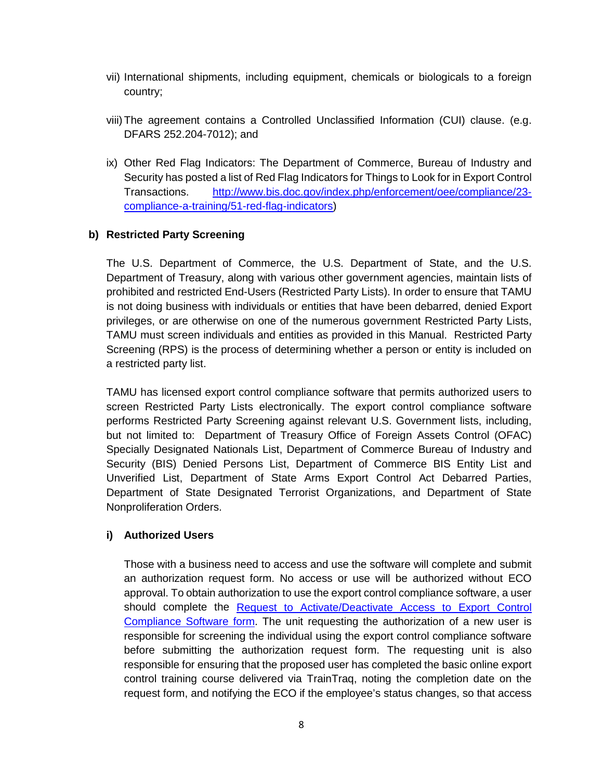- vii) International shipments, including equipment, chemicals or biologicals to a foreign country;
- viii)The agreement contains a Controlled Unclassified Information (CUI) clause. (e.g. DFARS 252.204-7012); and
- ix) Other Red Flag Indicators: The Department of Commerce, Bureau of Industry and Security has posted a list of Red Flag Indicators for Things to Look for in Export Control Transactions. [http://www.bis.doc.gov/index.php/enforcement/oee/compliance/23](http://www.bis.doc.gov/index.php/enforcement/oee/compliance/23-compliance-a-training/51-red-flag-indicators) [compliance-a-training/51-red-flag-indicators\)](http://www.bis.doc.gov/index.php/enforcement/oee/compliance/23-compliance-a-training/51-red-flag-indicators)

#### **b) Restricted Party Screening**

The U.S. Department of Commerce, the U.S. Department of State, and the U.S. Department of Treasury, along with various other government agencies, maintain lists of prohibited and restricted End-Users (Restricted Party Lists). In order to ensure that TAMU is not doing business with individuals or entities that have been debarred, denied Export privileges, or are otherwise on one of the numerous government Restricted Party Lists, TAMU must screen individuals and entities as provided in this Manual. Restricted Party Screening (RPS) is the process of determining whether a person or entity is included on a restricted party list.

TAMU has licensed export control compliance software that permits authorized users to screen Restricted Party Lists electronically. The export control compliance software performs Restricted Party Screening against relevant U.S. Government lists, including, but not limited to: Department of Treasury Office of Foreign Assets Control (OFAC) Specially Designated Nationals List, Department of Commerce Bureau of Industry and Security (BIS) Denied Persons List, Department of Commerce BIS Entity List and Unverified List, Department of State Arms Export Control Act Debarred Parties, Department of State Designated Terrorist Organizations, and Department of State Nonproliferation Orders.

#### **i) Authorized Users**

Those with a business need to access and use the software will complete and submit an authorization request form. No access or use will be authorized without ECO approval. To obtain authorization to use the export control compliance software, a user should complete the [Request to Activate/Deactivate](https://vpr.tamu.edu/initiate-research/export-controls/request-to-activate-deactivate-access-to-export-control-compliance-software.pdf) Access to Export Control [Compliance Software form.](https://vpr.tamu.edu/initiate-research/export-controls/request-to-activate-deactivate-access-to-export-control-compliance-software.pdf) The unit requesting the authorization of a new user is responsible for screening the individual using the export control compliance software before submitting the authorization request form. The requesting unit is also responsible for ensuring that the proposed user has completed the basic online export control training course delivered via TrainTraq, noting the completion date on the request form, and notifying the ECO if the employee's status changes, so that access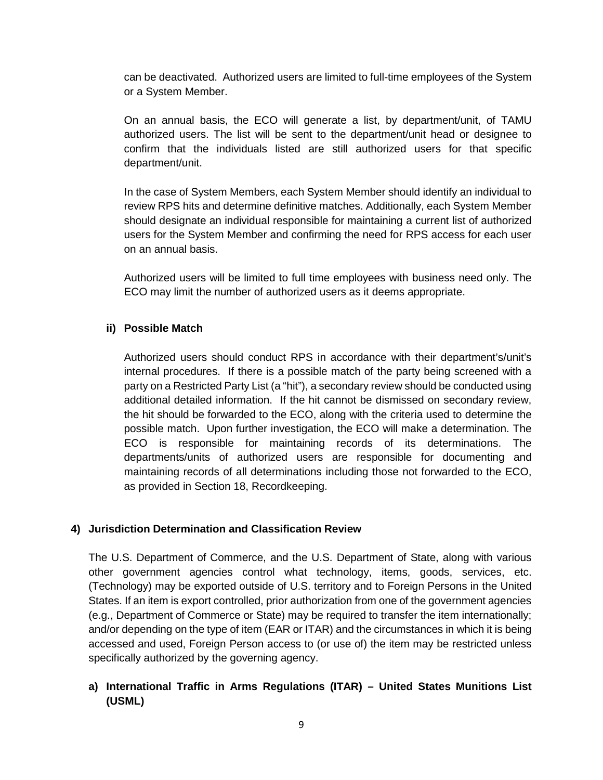can be deactivated. Authorized users are limited to full-time employees of the System or a System Member.

On an annual basis, the ECO will generate a list, by department/unit, of TAMU authorized users. The list will be sent to the department/unit head or designee to confirm that the individuals listed are still authorized users for that specific department/unit.

In the case of System Members, each System Member should identify an individual to review RPS hits and determine definitive matches. Additionally, each System Member should designate an individual responsible for maintaining a current list of authorized users for the System Member and confirming the need for RPS access for each user on an annual basis.

Authorized users will be limited to full time employees with business need only. The ECO may limit the number of authorized users as it deems appropriate.

### **ii) Possible Match**

Authorized users should conduct RPS in accordance with their department's/unit's internal procedures. If there is a possible match of the party being screened with a party on a Restricted Party List (a "hit"), a secondary review should be conducted using additional detailed information. If the hit cannot be dismissed on secondary review, the hit should be forwarded to the ECO, along with the criteria used to determine the possible match. Upon further investigation, the ECO will make a determination. The ECO is responsible for maintaining records of its determinations. The departments/units of authorized users are responsible for documenting and maintaining records of all determinations including those not forwarded to the ECO, as provided in Section 18, Recordkeeping.

#### **4) Jurisdiction Determination and Classification Review**

The U.S. Department of Commerce, and the U.S. Department of State, along with various other government agencies control what technology, items, goods, services, etc. (Technology) may be exported outside of U.S. territory and to Foreign Persons in the United States. If an item is export controlled, prior authorization from one of the government agencies (e.g., Department of Commerce or State) may be required to transfer the item internationally; and/or depending on the type of item (EAR or ITAR) and the circumstances in which it is being accessed and used, Foreign Person access to (or use of) the item may be restricted unless specifically authorized by the governing agency.

## **a) International Traffic in Arms Regulations (ITAR) – United States Munitions List (USML)**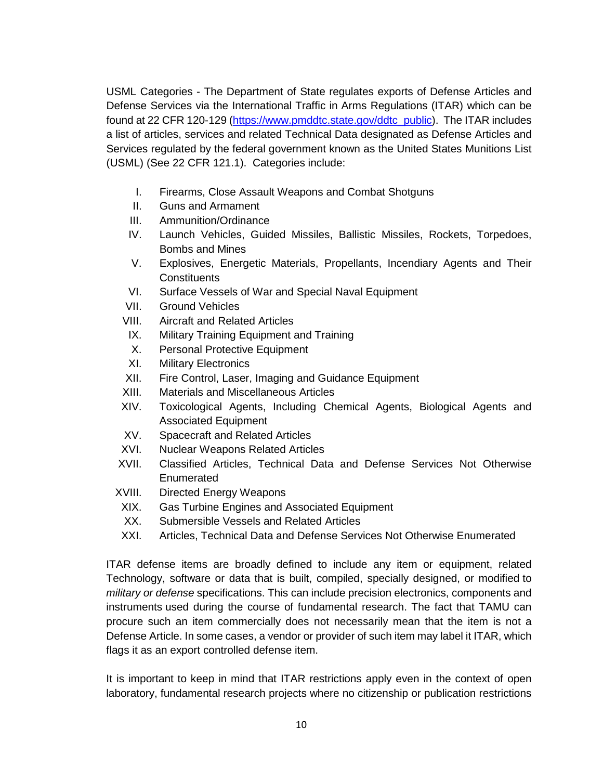USML Categories - The Department of State regulates exports of Defense Articles and Defense Services via the International Traffic in Arms Regulations (ITAR) which can be found at 22 CFR 120-129 [\(https://www.pmddtc.state.gov/ddtc\\_public\)](https://www.pmddtc.state.gov/ddtc_public). The ITAR includes a list of articles, services and related Technical Data designated as Defense Articles and Services regulated by the federal government known as the United States Munitions List (USML) (See 22 CFR 121.1). Categories include:

- I. Firearms, Close Assault Weapons and Combat Shotguns
- II. Guns and Armament
- III. Ammunition/Ordinance
- IV. Launch Vehicles, Guided Missiles, Ballistic Missiles, Rockets, Torpedoes, Bombs and Mines
- V. Explosives, Energetic Materials, Propellants, Incendiary Agents and Their **Constituents**
- VI. Surface Vessels of War and Special Naval Equipment
- VII. Ground Vehicles
- VIII. Aircraft and Related Articles
- IX. Military Training Equipment and Training
- X. Personal Protective Equipment
- XI. Military Electronics
- XII. Fire Control, Laser, Imaging and Guidance Equipment
- XIII. Materials and Miscellaneous Articles
- XIV. Toxicological Agents, Including Chemical Agents, Biological Agents and Associated Equipment
- XV. Spacecraft and Related Articles
- XVI. Nuclear Weapons Related Articles
- XVII. Classified Articles, Technical Data and Defense Services Not Otherwise **Enumerated**
- XVIII. Directed Energy Weapons
- XIX. Gas Turbine Engines and Associated Equipment
- XX. Submersible Vessels and Related Articles
- XXI. Articles, Technical Data and Defense Services Not Otherwise Enumerated

ITAR defense items are broadly defined to include any item or equipment, related Technology, software or data that is built, compiled, specially designed, or modified to *military or defense* specifications. This can include precision electronics, components and instruments used during the course of fundamental research. The fact that TAMU can procure such an item commercially does not necessarily mean that the item is not a Defense Article. In some cases, a vendor or provider of such item may label it ITAR, which flags it as an export controlled defense item.

It is important to keep in mind that ITAR restrictions apply even in the context of open laboratory, fundamental research projects where no citizenship or publication restrictions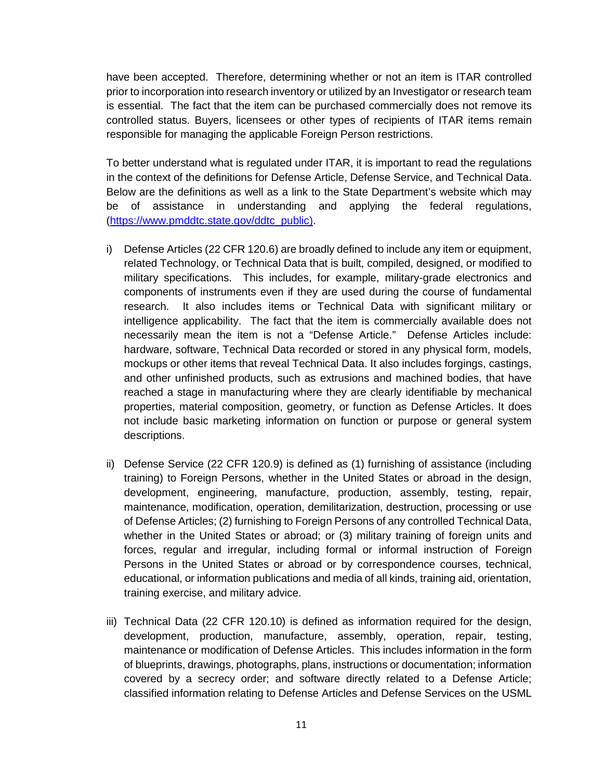have been accepted. Therefore, determining whether or not an item is ITAR controlled prior to incorporation into research inventory or utilized by an Investigator or research team is essential. The fact that the item can be purchased commercially does not remove its controlled status. Buyers, licensees or other types of recipients of ITAR items remain responsible for managing the applicable Foreign Person restrictions.

To better understand what is regulated under ITAR, it is important to read the regulations in the context of the definitions for Defense Article, Defense Service, and Technical Data. Below are the definitions as well as a link to the State Department's website which may be of assistance in understanding and applying the federal regulations, [\(https://www.pmddtc.state.gov/ddtc\\_public\)](https://www.pmddtc.state.gov/ddtc_public).

- i) Defense Articles (22 CFR 120.6) are broadly defined to include any item or equipment, related Technology, or Technical Data that is built, compiled, designed, or modified to military specifications. This includes, for example, military-grade electronics and components of instruments even if they are used during the course of fundamental research. It also includes items or Technical Data with significant military or intelligence applicability. The fact that the item is commercially available does not necessarily mean the item is not a "Defense Article." Defense Articles include: hardware, software, Technical Data recorded or stored in any physical form, models, mockups or other items that reveal Technical Data. It also includes forgings, castings, and other unfinished products, such as extrusions and machined bodies, that have reached a stage in manufacturing where they are clearly identifiable by mechanical properties, material composition, geometry, or function as Defense Articles. It does not include basic marketing information on function or purpose or general system descriptions.
- ii) Defense Service (22 CFR 120.9) is defined as (1) furnishing of assistance (including training) to Foreign Persons, whether in the United States or abroad in the design, development, engineering, manufacture, production, assembly, testing, repair, maintenance, modification, operation, demilitarization, destruction, processing or use of Defense Articles; (2) furnishing to Foreign Persons of any controlled Technical Data, whether in the United States or abroad; or (3) military training of foreign units and forces, regular and irregular, including formal or informal instruction of Foreign Persons in the United States or abroad or by correspondence courses, technical, educational, or information publications and media of all kinds, training aid, orientation, training exercise, and military advice.
- iii) Technical Data (22 CFR 120.10) is defined as information required for the design, development, production, manufacture, assembly, operation, repair, testing, maintenance or modification of Defense Articles. This includes information in the form of blueprints, drawings, photographs, plans, instructions or documentation; information covered by a secrecy order; and software directly related to a Defense Article; classified information relating to Defense Articles and Defense Services on the USML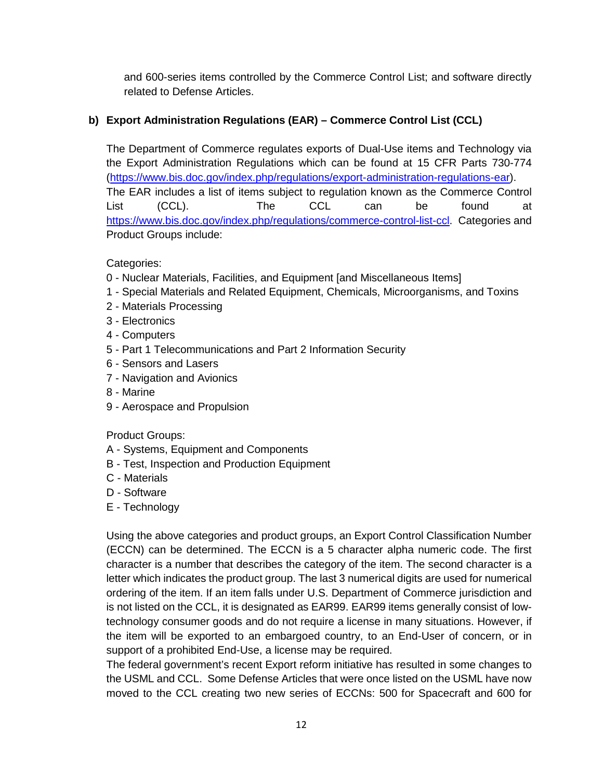and 600-series items controlled by the Commerce Control List; and software directly related to Defense Articles.

# **b) Export Administration Regulations (EAR) – Commerce Control List (CCL)**

The Department of Commerce regulates exports of Dual-Use items and Technology via the Export Administration Regulations which can be found at 15 CFR Parts 730-774 [\(https://www.bis.doc.gov/index.php/regulations/export-administration-regulations-ear\)](https://www.bis.doc.gov/index.php/regulations/export-administration-regulations-ear). The EAR includes a list of items subject to regulation known as the Commerce Control List (CCL). The CCL can be found at [https://www.bis.doc.gov/index.php/regulations/commerce-control-list-ccl.](https://www.bis.doc.gov/index.php/regulations/commerce-control-list-ccl) Categories and Product Groups include:

Categories:

- 0 Nuclear Materials, Facilities, and Equipment [and Miscellaneous Items]
- 1 Special Materials and Related Equipment, Chemicals, Microorganisms, and Toxins
- 2 Materials Processing
- 3 Electronics
- 4 Computers
- 5 Part 1 Telecommunications and Part 2 Information Security
- 6 Sensors and Lasers
- 7 Navigation and Avionics
- 8 Marine
- 9 Aerospace and Propulsion

Product Groups:

- A Systems, Equipment and Components
- B Test, Inspection and Production Equipment
- C Materials
- D Software
- E Technology

Using the above categories and product groups, an Export Control Classification Number (ECCN) can be determined. The ECCN is a 5 character alpha numeric code. The first character is a number that describes the category of the item. The second character is a letter which indicates the product group. The last 3 numerical digits are used for numerical ordering of the item. If an item falls under U.S. Department of Commerce jurisdiction and is not listed on the CCL, it is designated as EAR99. EAR99 items generally consist of lowtechnology consumer goods and do not require a license in many situations. However, if the item will be exported to an embargoed country, to an End-User of concern, or in support of a prohibited End-Use, a license may be required.

The federal government's recent Export reform initiative has resulted in some changes to the USML and CCL. Some Defense Articles that were once listed on the USML have now moved to the CCL creating two new series of ECCNs: 500 for Spacecraft and 600 for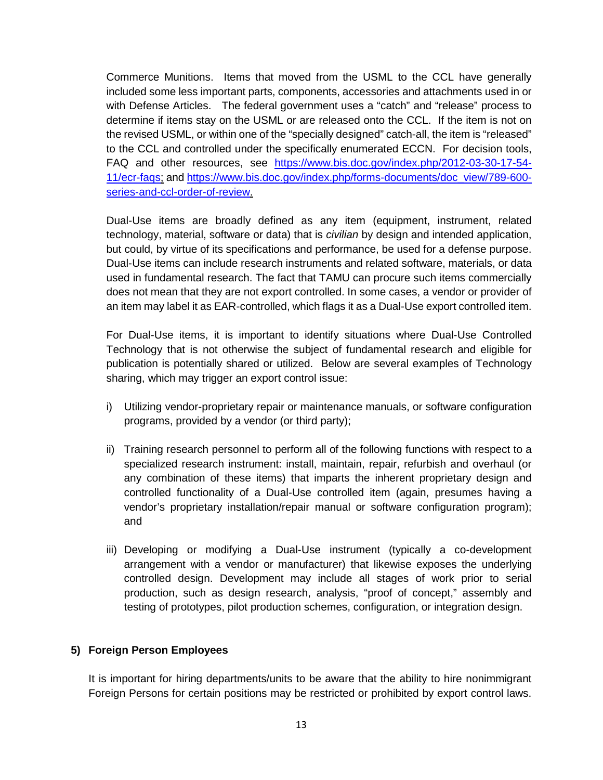Commerce Munitions. Items that moved from the USML to the CCL have generally included some less important parts, components, accessories and attachments used in or with Defense Articles. The federal government uses a "catch" and "release" process to determine if items stay on the USML or are released onto the CCL. If the item is not on the revised USML, or within one of the "specially designed" catch-all, the item is "released" to the CCL and controlled under the specifically enumerated ECCN. For decision tools, FAQ and other resources, see [https://www.bis.doc.gov/index.php/2012-03-30-17-54-](https://www.bis.doc.gov/index.php/2012-03-30-17-54-11/ecr-faqs) [11/ecr-faqs;](https://www.bis.doc.gov/index.php/2012-03-30-17-54-11/ecr-faqs) an[d https://www.bis.doc.gov/index.php/forms-documents/doc\\_view/789-600](https://www.bis.doc.gov/index.php/forms-documents/doc_view/789-600-series-and-ccl-order-of-review) [series-and-ccl-order-of-review.](https://www.bis.doc.gov/index.php/forms-documents/doc_view/789-600-series-and-ccl-order-of-review)

Dual-Use items are broadly defined as any item (equipment, instrument, related technology, material, software or data) that is *civilian* by design and intended application, but could, by virtue of its specifications and performance, be used for a defense purpose. Dual-Use items can include research instruments and related software, materials, or data used in fundamental research. The fact that TAMU can procure such items commercially does not mean that they are not export controlled. In some cases, a vendor or provider of an item may label it as EAR-controlled, which flags it as a Dual-Use export controlled item.

For Dual-Use items, it is important to identify situations where Dual-Use Controlled Technology that is not otherwise the subject of fundamental research and eligible for publication is potentially shared or utilized. Below are several examples of Technology sharing, which may trigger an export control issue:

- i) Utilizing vendor-proprietary repair or maintenance manuals, or software configuration programs, provided by a vendor (or third party);
- ii) Training research personnel to perform all of the following functions with respect to a specialized research instrument: install, maintain, repair, refurbish and overhaul (or any combination of these items) that imparts the inherent proprietary design and controlled functionality of a Dual-Use controlled item (again, presumes having a vendor's proprietary installation/repair manual or software configuration program); and
- iii) Developing or modifying a Dual-Use instrument (typically a co-development arrangement with a vendor or manufacturer) that likewise exposes the underlying controlled design. Development may include all stages of work prior to serial production, such as design research, analysis, "proof of concept," assembly and testing of prototypes, pilot production schemes, configuration, or integration design.

## **5) Foreign Person Employees**

It is important for hiring departments/units to be aware that the ability to hire nonimmigrant Foreign Persons for certain positions may be restricted or prohibited by export control laws.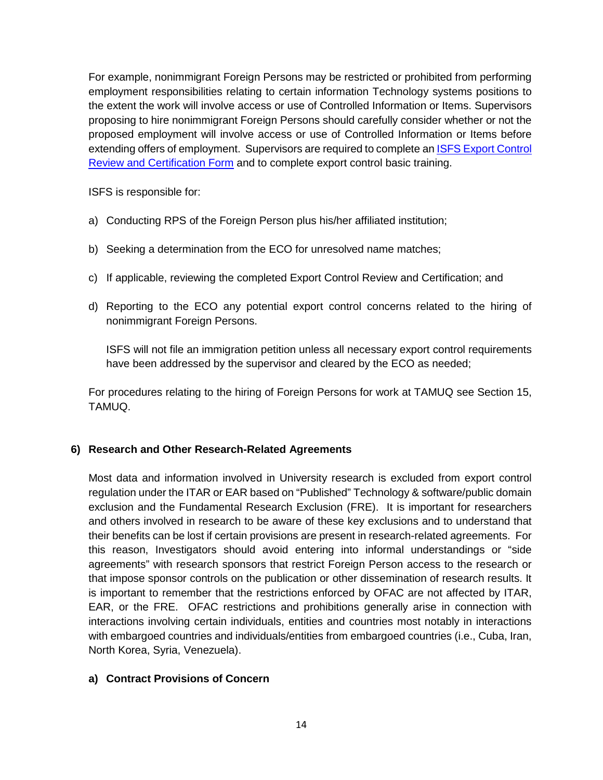For example, nonimmigrant Foreign Persons may be restricted or prohibited from performing employment responsibilities relating to certain information Technology systems positions to the extent the work will involve access or use of Controlled Information or Items. Supervisors proposing to hire nonimmigrant Foreign Persons should carefully consider whether or not the proposed employment will involve access or use of Controlled Information or Items before extending offers of employment. Supervisors are required to complete an [ISFS Export Control](https://isfs.tamu.edu/ISFS/media/IFSS-Media-Library/Forms/Export-Control-Review-Certification.pdf)  [Review and Certification Form](https://isfs.tamu.edu/ISFS/media/IFSS-Media-Library/Forms/Export-Control-Review-Certification.pdf) and to complete export control basic training.

ISFS is responsible for:

- a) Conducting RPS of the Foreign Person plus his/her affiliated institution;
- b) Seeking a determination from the ECO for unresolved name matches;
- c) If applicable, reviewing the completed Export Control Review and Certification; and
- d) Reporting to the ECO any potential export control concerns related to the hiring of nonimmigrant Foreign Persons.

ISFS will not file an immigration petition unless all necessary export control requirements have been addressed by the supervisor and cleared by the ECO as needed;

For procedures relating to the hiring of Foreign Persons for work at TAMUQ see Section 15, TAMUQ.

## **6) Research and Other Research-Related Agreements**

Most data and information involved in University research is excluded from export control regulation under the ITAR or EAR based on "Published" Technology & software/public domain exclusion and the Fundamental Research Exclusion (FRE). It is important for researchers and others involved in research to be aware of these key exclusions and to understand that their benefits can be lost if certain provisions are present in research-related agreements. For this reason, Investigators should avoid entering into informal understandings or "side agreements" with research sponsors that restrict Foreign Person access to the research or that impose sponsor controls on the publication or other dissemination of research results. It is important to remember that the restrictions enforced by OFAC are not affected by ITAR, EAR, or the FRE. OFAC restrictions and prohibitions generally arise in connection with interactions involving certain individuals, entities and countries most notably in interactions with embargoed countries and individuals/entities from embargoed countries (i.e., Cuba, Iran, North Korea, Syria, Venezuela).

#### **a) Contract Provisions of Concern**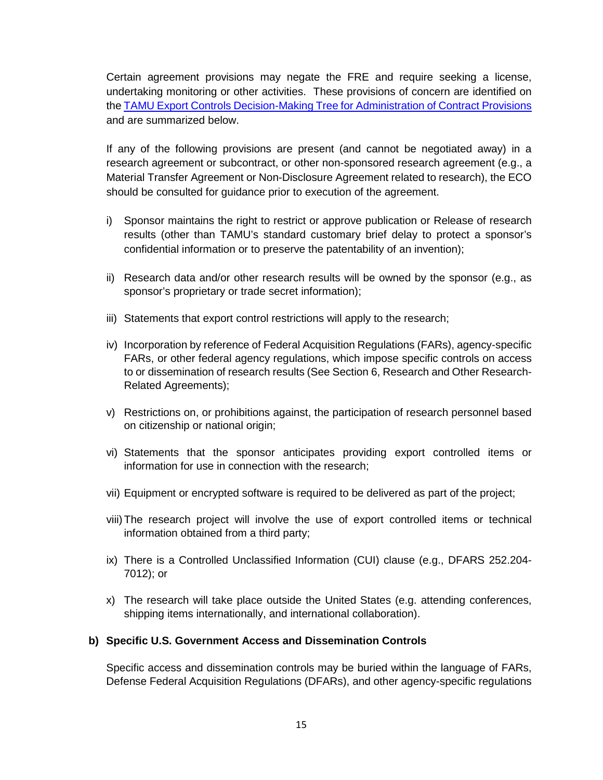Certain agreement provisions may negate the FRE and require seeking a license, undertaking monitoring or other activities. These provisions of concern are identified on the [TAMU Export Controls Decision-Making Tree for Administration of Contract Provisions](https://vpr.tamu.edu/initiate-research/export-controls/decision-making-tree-administration-of-contract-provisions.pdf) and are summarized below.

If any of the following provisions are present (and cannot be negotiated away) in a research agreement or subcontract, or other non-sponsored research agreement (e.g., a Material Transfer Agreement or Non-Disclosure Agreement related to research), the ECO should be consulted for guidance prior to execution of the agreement.

- i) Sponsor maintains the right to restrict or approve publication or Release of research results (other than TAMU's standard customary brief delay to protect a sponsor's confidential information or to preserve the patentability of an invention);
- ii) Research data and/or other research results will be owned by the sponsor (e.g., as sponsor's proprietary or trade secret information);
- iii) Statements that export control restrictions will apply to the research;
- iv) Incorporation by reference of Federal Acquisition Regulations (FARs), agency-specific FARs, or other federal agency regulations, which impose specific controls on access to or dissemination of research results (See Section 6, Research and Other Research-Related Agreements);
- v) Restrictions on, or prohibitions against, the participation of research personnel based on citizenship or national origin;
- vi) Statements that the sponsor anticipates providing export controlled items or information for use in connection with the research;
- vii) Equipment or encrypted software is required to be delivered as part of the project;
- viii)The research project will involve the use of export controlled items or technical information obtained from a third party;
- ix) There is a Controlled Unclassified Information (CUI) clause (e.g., DFARS 252.204- 7012); or
- x) The research will take place outside the United States (e.g. attending conferences, shipping items internationally, and international collaboration).

#### **b) Specific U.S. Government Access and Dissemination Controls**

Specific access and dissemination controls may be buried within the language of FARs, Defense Federal Acquisition Regulations (DFARs), and other agency-specific regulations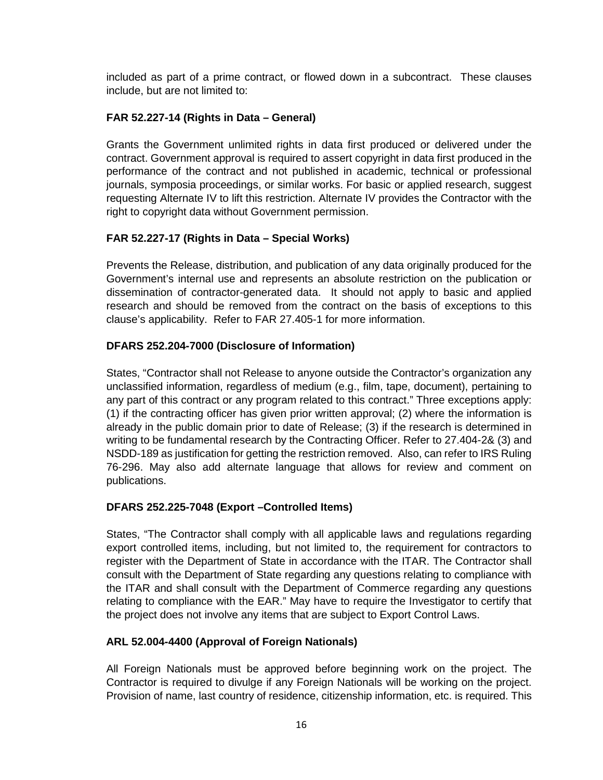included as part of a prime contract, or flowed down in a subcontract. These clauses include, but are not limited to:

## **FAR 52.227-14 (Rights in Data – General)**

Grants the Government unlimited rights in data first produced or delivered under the contract. Government approval is required to assert copyright in data first produced in the performance of the contract and not published in academic, technical or professional journals, symposia proceedings, or similar works. For basic or applied research, suggest requesting Alternate IV to lift this restriction. Alternate IV provides the Contractor with the right to copyright data without Government permission.

## **FAR 52.227-17 (Rights in Data – Special Works)**

Prevents the Release, distribution, and publication of any data originally produced for the Government's internal use and represents an absolute restriction on the publication or dissemination of contractor-generated data. It should not apply to basic and applied research and should be removed from the contract on the basis of exceptions to this clause's applicability. Refer to FAR 27.405-1 for more information.

## **DFARS 252.204-7000 (Disclosure of Information)**

States, "Contractor shall not Release to anyone outside the Contractor's organization any unclassified information, regardless of medium (e.g., film, tape, document), pertaining to any part of this contract or any program related to this contract." Three exceptions apply: (1) if the contracting officer has given prior written approval; (2) where the information is already in the public domain prior to date of Release; (3) if the research is determined in writing to be fundamental research by the Contracting Officer. Refer to 27.404-2& (3) and NSDD-189 as justification for getting the restriction removed. Also, can refer to IRS Ruling 76-296. May also add alternate language that allows for review and comment on publications.

## **DFARS 252.225-7048 (Export –Controlled Items)**

States, "The Contractor shall comply with all applicable laws and regulations regarding export controlled items, including, but not limited to, the requirement for contractors to register with the Department of State in accordance with the ITAR. The Contractor shall consult with the Department of State regarding any questions relating to compliance with the ITAR and shall consult with the Department of Commerce regarding any questions relating to compliance with the EAR." May have to require the Investigator to certify that the project does not involve any items that are subject to Export Control Laws.

## **ARL 52.004-4400 (Approval of Foreign Nationals)**

All Foreign Nationals must be approved before beginning work on the project. The Contractor is required to divulge if any Foreign Nationals will be working on the project. Provision of name, last country of residence, citizenship information, etc. is required. This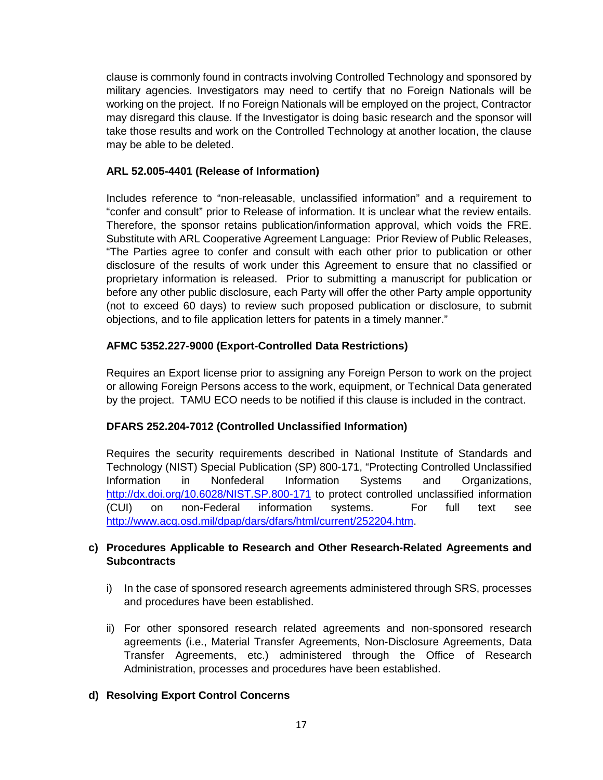clause is commonly found in contracts involving Controlled Technology and sponsored by military agencies. Investigators may need to certify that no Foreign Nationals will be working on the project. If no Foreign Nationals will be employed on the project, Contractor may disregard this clause. If the Investigator is doing basic research and the sponsor will take those results and work on the Controlled Technology at another location, the clause may be able to be deleted.

### **ARL 52.005-4401 (Release of Information)**

Includes reference to "non-releasable, unclassified information" and a requirement to "confer and consult" prior to Release of information. It is unclear what the review entails. Therefore, the sponsor retains publication/information approval, which voids the FRE. Substitute with ARL Cooperative Agreement Language: Prior Review of Public Releases, "The Parties agree to confer and consult with each other prior to publication or other disclosure of the results of work under this Agreement to ensure that no classified or proprietary information is released. Prior to submitting a manuscript for publication or before any other public disclosure, each Party will offer the other Party ample opportunity (not to exceed 60 days) to review such proposed publication or disclosure, to submit objections, and to file application letters for patents in a timely manner."

### **AFMC 5352.227-9000 (Export-Controlled Data Restrictions)**

Requires an Export license prior to assigning any Foreign Person to work on the project or allowing Foreign Persons access to the work, equipment, or Technical Data generated by the project. TAMU ECO needs to be notified if this clause is included in the contract.

#### **DFARS 252.204-7012 (Controlled Unclassified Information)**

Requires the security requirements described in National Institute of Standards and Technology (NIST) Special Publication (SP) 800-171, "Protecting Controlled Unclassified Information in Nonfederal Information Systems and Organizations, <http://dx.doi.org/10.6028/NIST.SP.800-171> to protect controlled unclassified information (CUI) on non-Federal information systems. For full text see [http://www.acq.osd.mil/dpap/dars/dfars/html/current/252204.htm.](http://www.acq.osd.mil/dpap/dars/dfars/html/current/252204.htm)

### **c) Procedures Applicable to Research and Other Research-Related Agreements and Subcontracts**

- i) In the case of sponsored research agreements administered through SRS, processes and procedures have been established.
- ii) For other sponsored research related agreements and non-sponsored research agreements (i.e., Material Transfer Agreements, Non-Disclosure Agreements, Data Transfer Agreements, etc.) administered through the Office of Research Administration, processes and procedures have been established.

#### **d) Resolving Export Control Concerns**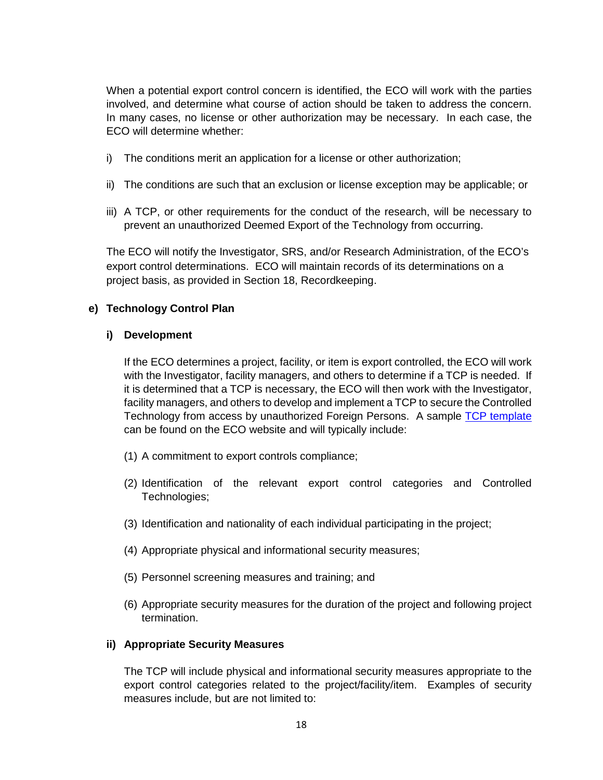When a potential export control concern is identified, the ECO will work with the parties involved, and determine what course of action should be taken to address the concern. In many cases, no license or other authorization may be necessary. In each case, the ECO will determine whether:

- i) The conditions merit an application for a license or other authorization;
- ii) The conditions are such that an exclusion or license exception may be applicable; or
- iii) A TCP, or other requirements for the conduct of the research, will be necessary to prevent an unauthorized Deemed Export of the Technology from occurring.

The ECO will notify the Investigator, SRS, and/or Research Administration, of the ECO's export control determinations. ECO will maintain records of its determinations on a project basis, as provided in Section 18, Recordkeeping.

#### **e) Technology Control Plan**

#### **i) Development**

If the ECO determines a project, facility, or item is export controlled, the ECO will work with the Investigator, facility managers, and others to determine if a TCP is needed. If it is determined that a TCP is necessary, the ECO will then work with the Investigator, facility managers, and others to develop and implement a TCP to secure the Controlled Technology from access by unauthorized Foreign Persons. A sample [TCP template](https://vpr.tamu.edu/initiate-research/export-controls/tcp-template.pdf) can be found on the ECO website and will typically include:

- (1) A commitment to export controls compliance;
- (2) Identification of the relevant export control categories and Controlled Technologies;
- (3) Identification and nationality of each individual participating in the project;
- (4) Appropriate physical and informational security measures;
- (5) Personnel screening measures and training; and
- (6) Appropriate security measures for the duration of the project and following project termination.

#### **ii) Appropriate Security Measures**

The TCP will include physical and informational security measures appropriate to the export control categories related to the project/facility/item. Examples of security measures include, but are not limited to: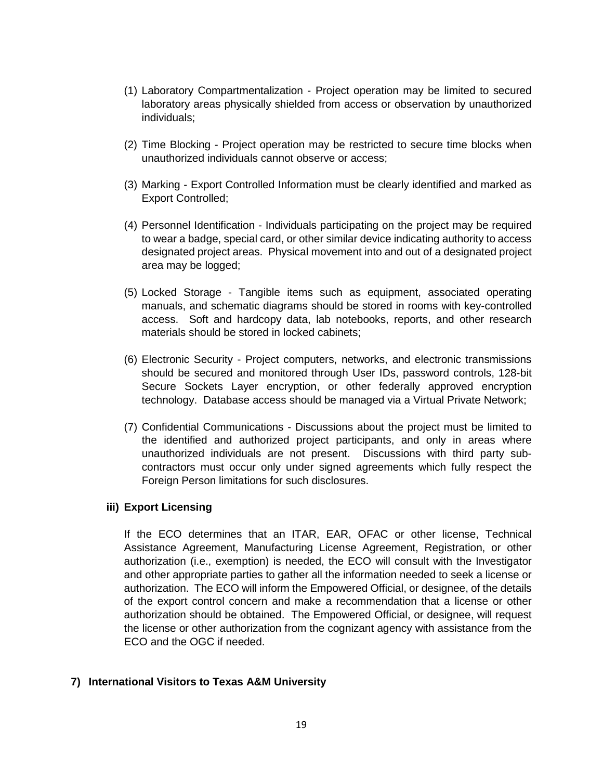- (1) Laboratory Compartmentalization Project operation may be limited to secured laboratory areas physically shielded from access or observation by unauthorized individuals;
- (2) Time Blocking Project operation may be restricted to secure time blocks when unauthorized individuals cannot observe or access;
- (3) Marking Export Controlled Information must be clearly identified and marked as Export Controlled;
- (4) Personnel Identification Individuals participating on the project may be required to wear a badge, special card, or other similar device indicating authority to access designated project areas. Physical movement into and out of a designated project area may be logged;
- (5) Locked Storage Tangible items such as equipment, associated operating manuals, and schematic diagrams should be stored in rooms with key-controlled access. Soft and hardcopy data, lab notebooks, reports, and other research materials should be stored in locked cabinets;
- (6) Electronic Security Project computers, networks, and electronic transmissions should be secured and monitored through User IDs, password controls, 128-bit Secure Sockets Layer encryption, or other federally approved encryption technology. Database access should be managed via a Virtual Private Network;
- (7) Confidential Communications Discussions about the project must be limited to the identified and authorized project participants, and only in areas where unauthorized individuals are not present. Discussions with third party subcontractors must occur only under signed agreements which fully respect the Foreign Person limitations for such disclosures.

#### **iii) Export Licensing**

If the ECO determines that an ITAR, EAR, OFAC or other license, Technical Assistance Agreement, Manufacturing License Agreement, Registration, or other authorization (i.e., exemption) is needed, the ECO will consult with the Investigator and other appropriate parties to gather all the information needed to seek a license or authorization. The ECO will inform the Empowered Official, or designee, of the details of the export control concern and make a recommendation that a license or other authorization should be obtained. The Empowered Official, or designee, will request the license or other authorization from the cognizant agency with assistance from the ECO and the OGC if needed.

#### **7) International Visitors to Texas A&M University**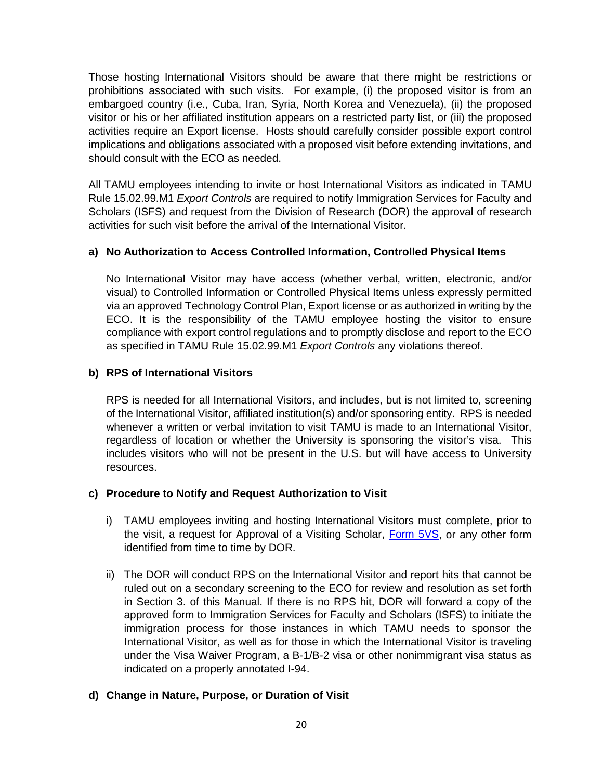Those hosting International Visitors should be aware that there might be restrictions or prohibitions associated with such visits. For example, (i) the proposed visitor is from an embargoed country (i.e., Cuba, Iran, Syria, North Korea and Venezuela), (ii) the proposed visitor or his or her affiliated institution appears on a restricted party list, or (iii) the proposed activities require an Export license. Hosts should carefully consider possible export control implications and obligations associated with a proposed visit before extending invitations, and should consult with the ECO as needed.

All TAMU employees intending to invite or host International Visitors as indicated in TAMU Rule 15.02.99.M1 *Export Controls* are required to notify Immigration Services for Faculty and Scholars (ISFS) and request from the Division of Research (DOR) the approval of research activities for such visit before the arrival of the International Visitor.

### **a) No Authorization to Access Controlled Information, Controlled Physical Items**

No International Visitor may have access (whether verbal, written, electronic, and/or visual) to Controlled Information or Controlled Physical Items unless expressly permitted via an approved Technology Control Plan, Export license or as authorized in writing by the ECO. It is the responsibility of the TAMU employee hosting the visitor to ensure compliance with export control regulations and to promptly disclose and report to the ECO as specified in TAMU Rule 15.02.99.M1 *Export Controls* any violations thereof.

### **b) RPS of International Visitors**

RPS is needed for all International Visitors, and includes, but is not limited to, screening of the International Visitor, affiliated institution(s) and/or sponsoring entity. RPS is needed whenever a written or verbal invitation to visit TAMU is made to an International Visitor, regardless of location or whether the University is sponsoring the visitor's visa. This includes visitors who will not be present in the U.S. but will have access to University resources.

#### **c) Procedure to Notify and Request Authorization to Visit**

- i) TAMU employees inviting and hosting International Visitors must complete, prior to the visit, a request for Approval of a Visiting Scholar, [Form 5VS,](https://vpr.tamu.edu/manage-research/visiting-scholars-program/visiting-scholars-form-5vs.pdf) or any other form identified from time to time by DOR.
- ii) The DOR will conduct RPS on the International Visitor and report hits that cannot be ruled out on a secondary screening to the ECO for review and resolution as set forth in Section 3. of this Manual. If there is no RPS hit, DOR will forward a copy of the approved form to Immigration Services for Faculty and Scholars (ISFS) to initiate the immigration process for those instances in which TAMU needs to sponsor the International Visitor, as well as for those in which the International Visitor is traveling under the Visa Waiver Program, a B-1/B-2 visa or other nonimmigrant visa status as indicated on a properly annotated I-94.

## **d) Change in Nature, Purpose, or Duration of Visit**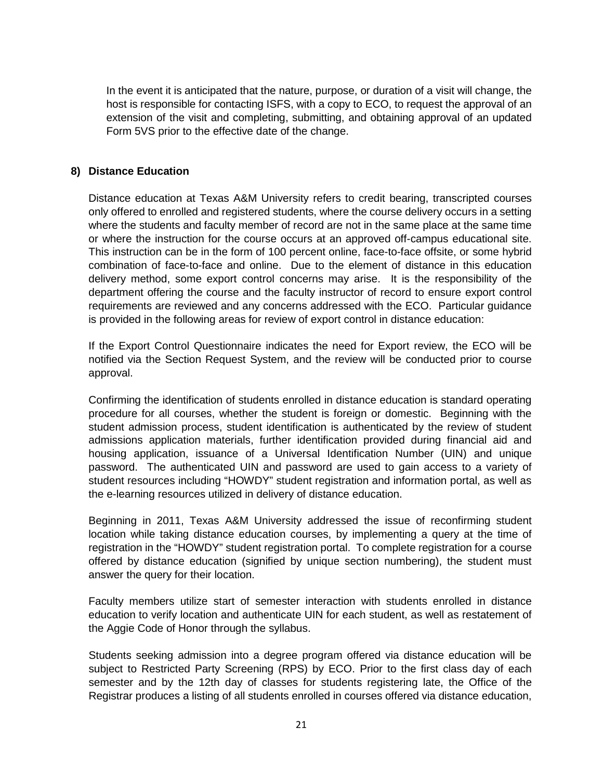In the event it is anticipated that the nature, purpose, or duration of a visit will change, the host is responsible for contacting ISFS, with a copy to ECO, to request the approval of an extension of the visit and completing, submitting, and obtaining approval of an updated Form 5VS prior to the effective date of the change.

#### **8) Distance Education**

Distance education at Texas A&M University refers to credit bearing, transcripted courses only offered to enrolled and registered students, where the course delivery occurs in a setting where the students and faculty member of record are not in the same place at the same time or where the instruction for the course occurs at an approved off-campus educational site. This instruction can be in the form of 100 percent online, face-to-face offsite, or some hybrid combination of face-to-face and online. Due to the element of distance in this education delivery method, some export control concerns may arise. It is the responsibility of the department offering the course and the faculty instructor of record to ensure export control requirements are reviewed and any concerns addressed with the ECO. Particular guidance is provided in the following areas for review of export control in distance education:

If the Export Control Questionnaire indicates the need for Export review, the ECO will be notified via the Section Request System, and the review will be conducted prior to course approval.

Confirming the identification of students enrolled in distance education is standard operating procedure for all courses, whether the student is foreign or domestic. Beginning with the student admission process, student identification is authenticated by the review of student admissions application materials, further identification provided during financial aid and housing application, issuance of a Universal Identification Number (UIN) and unique password. The authenticated UIN and password are used to gain access to a variety of student resources including "HOWDY" student registration and information portal, as well as the e-learning resources utilized in delivery of distance education.

Beginning in 2011, Texas A&M University addressed the issue of reconfirming student location while taking distance education courses, by implementing a query at the time of registration in the "HOWDY" student registration portal. To complete registration for a course offered by distance education (signified by unique section numbering), the student must answer the query for their location.

Faculty members utilize start of semester interaction with students enrolled in distance education to verify location and authenticate UIN for each student, as well as restatement of the Aggie Code of Honor through the syllabus.

Students seeking admission into a degree program offered via distance education will be subject to Restricted Party Screening (RPS) by ECO. Prior to the first class day of each semester and by the 12th day of classes for students registering late, the Office of the Registrar produces a listing of all students enrolled in courses offered via distance education,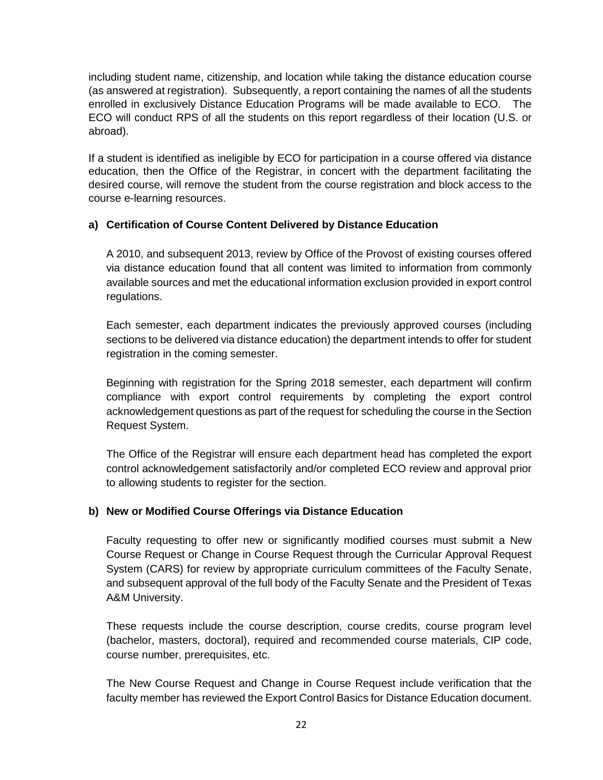including student name, citizenship, and location while taking the distance education course (as answered at registration). Subsequently, a report containing the names of all the students enrolled in exclusively Distance Education Programs will be made available to ECO. The ECO will conduct RPS of all the students on this report regardless of their location (U.S. or abroad).

If a student is identified as ineligible by ECO for participation in a course offered via distance education, then the Office of the Registrar, in concert with the department facilitating the desired course, will remove the student from the course registration and block access to the course e-learning resources.

## **a) Certification of Course Content Delivered by Distance Education**

A 2010, and subsequent 2013, review by Office of the Provost of existing courses offered via distance education found that all content was limited to information from commonly available sources and met the educational information exclusion provided in export control regulations.

Each semester, each department indicates the previously approved courses (including sections to be delivered via distance education) the department intends to offer for student registration in the coming semester.

Beginning with registration for the Spring 2018 semester, each department will confirm compliance with export control requirements by completing the export control acknowledgement questions as part of the request for scheduling the course in the Section Request System.

The Office of the Registrar will ensure each department head has completed the export control acknowledgement satisfactorily and/or completed ECO review and approval prior to allowing students to register for the section.

## **b) New or Modified Course Offerings via Distance Education**

Faculty requesting to offer new or significantly modified courses must submit a New Course Request or Change in Course Request through the Curricular Approval Request System (CARS) for review by appropriate curriculum committees of the Faculty Senate, and subsequent approval of the full body of the Faculty Senate and the President of Texas A&M University.

These requests include the course description, course credits, course program level (bachelor, masters, doctoral), required and recommended course materials, CIP code, course number, prerequisites, etc.

The New Course Request and Change in Course Request include verification that the faculty member has reviewed the Export Control Basics for Distance Education document.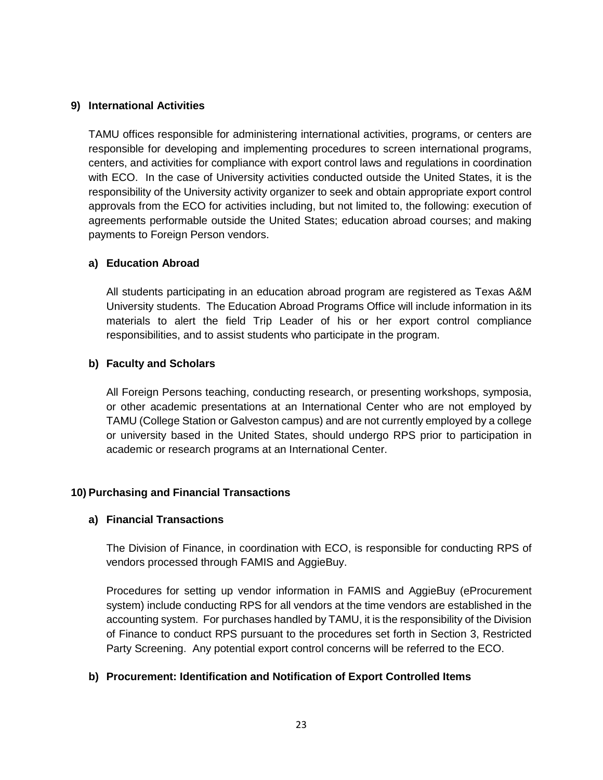#### **9) International Activities**

TAMU offices responsible for administering international activities, programs, or centers are responsible for developing and implementing procedures to screen international programs, centers, and activities for compliance with export control laws and regulations in coordination with ECO. In the case of University activities conducted outside the United States, it is the responsibility of the University activity organizer to seek and obtain appropriate export control approvals from the ECO for activities including, but not limited to, the following: execution of agreements performable outside the United States; education abroad courses; and making payments to Foreign Person vendors.

### **a) Education Abroad**

All students participating in an education abroad program are registered as Texas A&M University students. The Education Abroad Programs Office will include information in its materials to alert the field Trip Leader of his or her export control compliance responsibilities, and to assist students who participate in the program.

### **b) Faculty and Scholars**

All Foreign Persons teaching, conducting research, or presenting workshops, symposia, or other academic presentations at an International Center who are not employed by TAMU (College Station or Galveston campus) and are not currently employed by a college or university based in the United States, should undergo RPS prior to participation in academic or research programs at an International Center.

#### **10) Purchasing and Financial Transactions**

#### **a) Financial Transactions**

The Division of Finance, in coordination with ECO, is responsible for conducting RPS of vendors processed through FAMIS and AggieBuy.

Procedures for setting up vendor information in FAMIS and AggieBuy (eProcurement system) include conducting RPS for all vendors at the time vendors are established in the accounting system. For purchases handled by TAMU, it is the responsibility of the Division of Finance to conduct RPS pursuant to the procedures set forth in Section 3, Restricted Party Screening. Any potential export control concerns will be referred to the ECO.

## **b) Procurement: Identification and Notification of Export Controlled Items**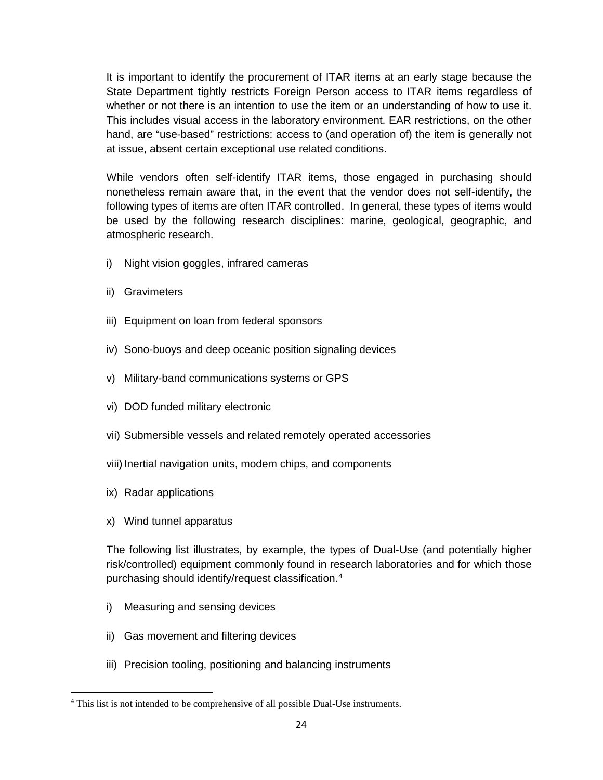It is important to identify the procurement of ITAR items at an early stage because the State Department tightly restricts Foreign Person access to ITAR items regardless of whether or not there is an intention to use the item or an understanding of how to use it. This includes visual access in the laboratory environment. EAR restrictions, on the other hand, are "use-based" restrictions: access to (and operation of) the item is generally not at issue, absent certain exceptional use related conditions.

While vendors often self-identify ITAR items, those engaged in purchasing should nonetheless remain aware that, in the event that the vendor does not self-identify, the following types of items are often ITAR controlled. In general, these types of items would be used by the following research disciplines: marine, geological, geographic, and atmospheric research.

- i) Night vision goggles, infrared cameras
- ii) Gravimeters
- iii) Equipment on loan from federal sponsors
- iv) Sono-buoys and deep oceanic position signaling devices
- v) Military-band communications systems or GPS
- vi) DOD funded military electronic
- vii) Submersible vessels and related remotely operated accessories
- viii) Inertial navigation units, modem chips, and components
- ix) Radar applications

l

x) Wind tunnel apparatus

The following list illustrates, by example, the types of Dual-Use (and potentially higher risk/controlled) equipment commonly found in research laboratories and for which those purchasing should identify/request classification.[4](#page-23-0)

- i) Measuring and sensing devices
- ii) Gas movement and filtering devices
- iii) Precision tooling, positioning and balancing instruments

<span id="page-23-0"></span><sup>4</sup> This list is not intended to be comprehensive of all possible Dual-Use instruments.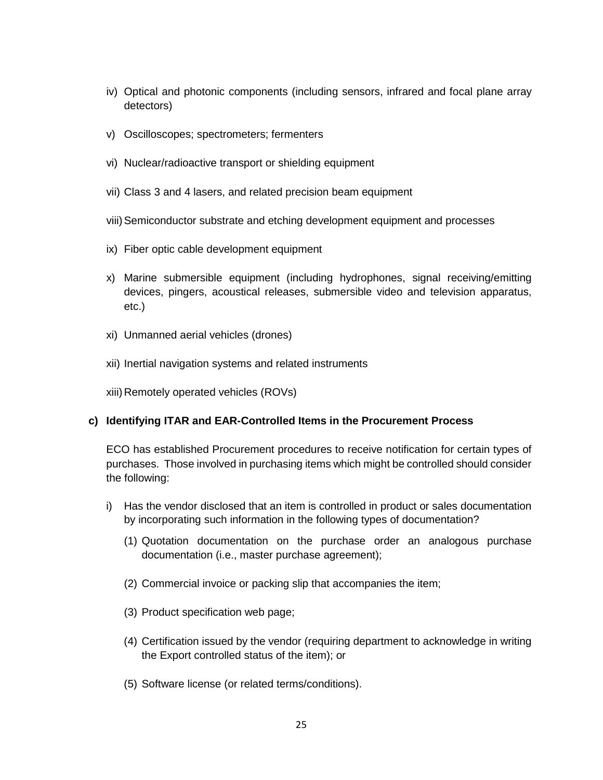- iv) Optical and photonic components (including sensors, infrared and focal plane array detectors)
- v) Oscilloscopes; spectrometers; fermenters
- vi) Nuclear/radioactive transport or shielding equipment
- vii) Class 3 and 4 lasers, and related precision beam equipment
- viii)Semiconductor substrate and etching development equipment and processes
- ix) Fiber optic cable development equipment
- x) Marine submersible equipment (including hydrophones, signal receiving/emitting devices, pingers, acoustical releases, submersible video and television apparatus, etc.)
- xi) Unmanned aerial vehicles (drones)
- xii) Inertial navigation systems and related instruments

xiii) Remotely operated vehicles (ROVs)

#### **c) Identifying ITAR and EAR-Controlled Items in the Procurement Process**

ECO has established Procurement procedures to receive notification for certain types of purchases. Those involved in purchasing items which might be controlled should consider the following:

- i) Has the vendor disclosed that an item is controlled in product or sales documentation by incorporating such information in the following types of documentation?
	- (1) Quotation documentation on the purchase order an analogous purchase documentation (i.e., master purchase agreement);
	- (2) Commercial invoice or packing slip that accompanies the item;
	- (3) Product specification web page;
	- (4) Certification issued by the vendor (requiring department to acknowledge in writing the Export controlled status of the item); or
	- (5) Software license (or related terms/conditions).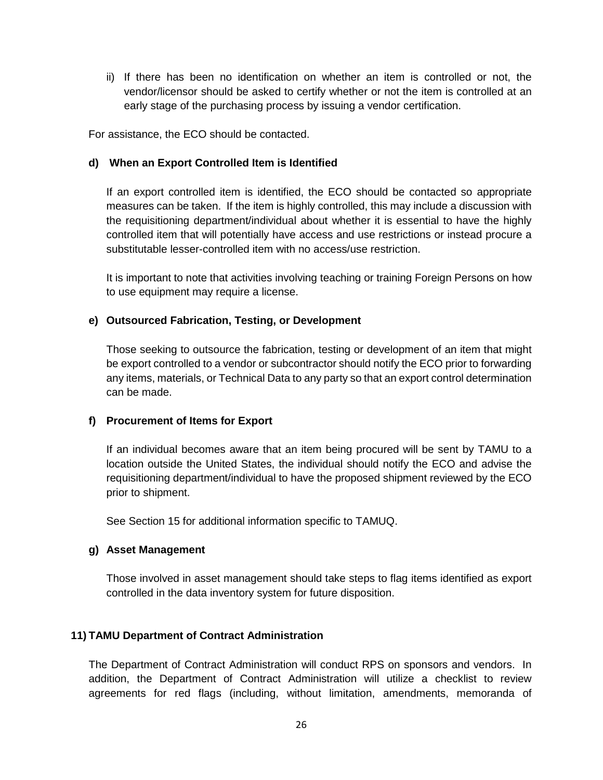ii) If there has been no identification on whether an item is controlled or not, the vendor/licensor should be asked to certify whether or not the item is controlled at an early stage of the purchasing process by issuing a vendor certification.

For assistance, the ECO should be contacted.

#### **d) When an Export Controlled Item is Identified**

If an export controlled item is identified, the ECO should be contacted so appropriate measures can be taken. If the item is highly controlled, this may include a discussion with the requisitioning department/individual about whether it is essential to have the highly controlled item that will potentially have access and use restrictions or instead procure a substitutable lesser-controlled item with no access/use restriction.

It is important to note that activities involving teaching or training Foreign Persons on how to use equipment may require a license.

#### **e) Outsourced Fabrication, Testing, or Development**

Those seeking to outsource the fabrication, testing or development of an item that might be export controlled to a vendor or subcontractor should notify the ECO prior to forwarding any items, materials, or Technical Data to any party so that an export control determination can be made.

#### **f) Procurement of Items for Export**

If an individual becomes aware that an item being procured will be sent by TAMU to a location outside the United States, the individual should notify the ECO and advise the requisitioning department/individual to have the proposed shipment reviewed by the ECO prior to shipment.

See Section 15 for additional information specific to TAMUQ.

#### **g) Asset Management**

Those involved in asset management should take steps to flag items identified as export controlled in the data inventory system for future disposition.

#### **11) TAMU Department of Contract Administration**

The Department of Contract Administration will conduct RPS on sponsors and vendors. In addition, the Department of Contract Administration will utilize a checklist to review agreements for red flags (including, without limitation, amendments, memoranda of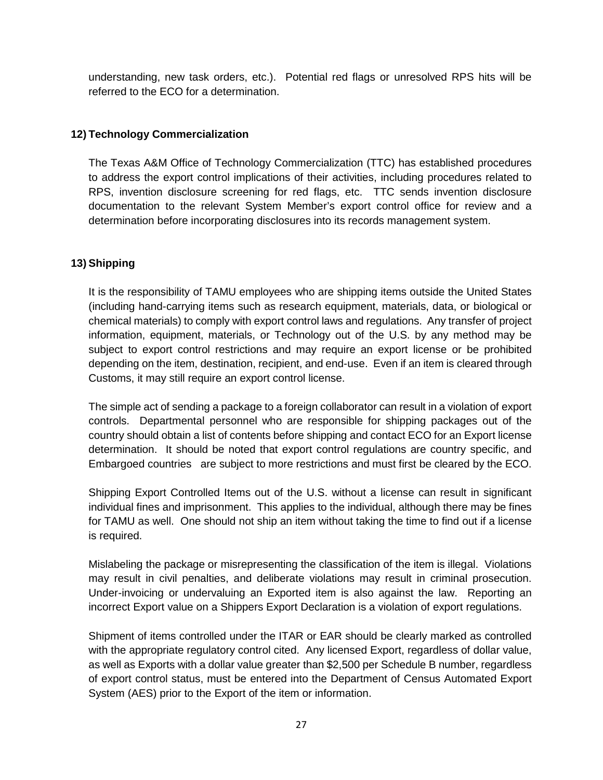understanding, new task orders, etc.). Potential red flags or unresolved RPS hits will be referred to the ECO for a determination.

## **12) Technology Commercialization**

The Texas A&M Office of Technology Commercialization (TTC) has established procedures to address the export control implications of their activities, including procedures related to RPS, invention disclosure screening for red flags, etc. TTC sends invention disclosure documentation to the relevant System Member's export control office for review and a determination before incorporating disclosures into its records management system.

### **13) Shipping**

It is the responsibility of TAMU employees who are shipping items outside the United States (including hand-carrying items such as research equipment, materials, data, or biological or chemical materials) to comply with export control laws and regulations. Any transfer of project information, equipment, materials, or Technology out of the U.S. by any method may be subject to export control restrictions and may require an export license or be prohibited depending on the item, destination, recipient, and end-use. Even if an item is cleared through Customs, it may still require an export control license.

The simple act of sending a package to a foreign collaborator can result in a violation of export controls. Departmental personnel who are responsible for shipping packages out of the country should obtain a list of contents before shipping and contact ECO for an Export license determination. It should be noted that export control regulations are country specific, and Embargoed countries are subject to more restrictions and must first be cleared by the ECO.

Shipping Export Controlled Items out of the U.S. without a license can result in significant individual fines and imprisonment. This applies to the individual, although there may be fines for TAMU as well. One should not ship an item without taking the time to find out if a license is required.

Mislabeling the package or misrepresenting the classification of the item is illegal. Violations may result in civil penalties, and deliberate violations may result in criminal prosecution. Under-invoicing or undervaluing an Exported item is also against the law. Reporting an incorrect Export value on a Shippers Export Declaration is a violation of export regulations.

Shipment of items controlled under the ITAR or EAR should be clearly marked as controlled with the appropriate regulatory control cited. Any licensed Export, regardless of dollar value, as well as Exports with a dollar value greater than \$2,500 per Schedule B number, regardless of export control status, must be entered into the Department of Census Automated Export System (AES) prior to the Export of the item or information.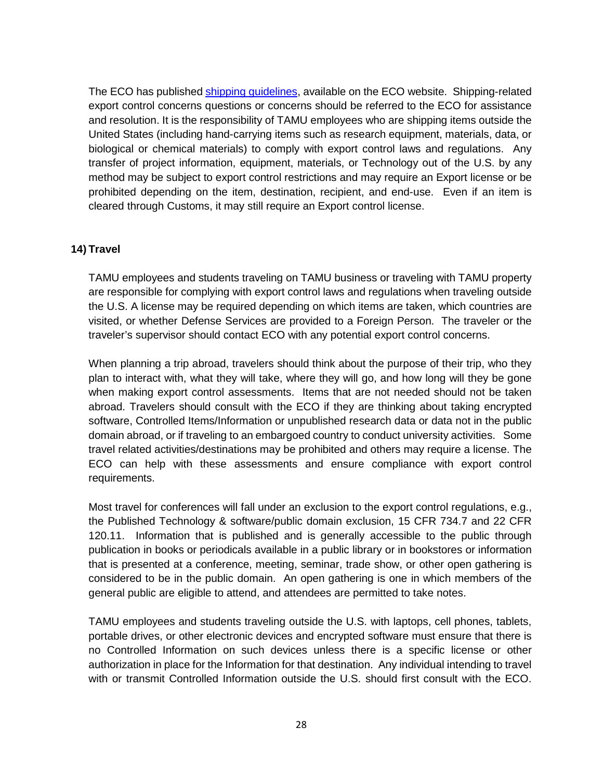The ECO has published [shipping guidelines,](https://vpr.tamu.edu/initiate-research/export-controls/ShippingGuidelinesFinal101817RevAttachmentA52218.pdf) available on the ECO website. Shipping-related export control concerns questions or concerns should be referred to the ECO for assistance and resolution. It is the responsibility of TAMU employees who are shipping items outside the United States (including hand-carrying items such as research equipment, materials, data, or biological or chemical materials) to comply with export control laws and regulations. Any transfer of project information, equipment, materials, or Technology out of the U.S. by any method may be subject to export control restrictions and may require an Export license or be prohibited depending on the item, destination, recipient, and end-use. Even if an item is cleared through Customs, it may still require an Export control license.

#### **14) Travel**

TAMU employees and students traveling on TAMU business or traveling with TAMU property are responsible for complying with export control laws and regulations when traveling outside the U.S. A license may be required depending on which items are taken, which countries are visited, or whether Defense Services are provided to a Foreign Person. The traveler or the traveler's supervisor should contact ECO with any potential export control concerns.

When planning a trip abroad, travelers should think about the purpose of their trip, who they plan to interact with, what they will take, where they will go, and how long will they be gone when making export control assessments. Items that are not needed should not be taken abroad. Travelers should consult with the ECO if they are thinking about taking encrypted software, Controlled Items/Information or unpublished research data or data not in the public domain abroad, or if traveling to an embargoed country to conduct university activities. Some travel related activities/destinations may be prohibited and others may require a license. The ECO can help with these assessments and ensure compliance with export control requirements.

Most travel for conferences will fall under an exclusion to the export control regulations, e.g., the Published Technology & software/public domain exclusion, 15 CFR 734.7 and 22 CFR 120.11. Information that is published and is generally accessible to the public through publication in books or periodicals available in a public library or in bookstores or information that is presented at a conference, meeting, seminar, trade show, or other open gathering is considered to be in the public domain. An open gathering is one in which members of the general public are eligible to attend, and attendees are permitted to take notes.

TAMU employees and students traveling outside the U.S. with laptops, cell phones, tablets, portable drives, or other electronic devices and encrypted software must ensure that there is no Controlled Information on such devices unless there is a specific license or other authorization in place for the Information for that destination. Any individual intending to travel with or transmit Controlled Information outside the U.S. should first consult with the ECO.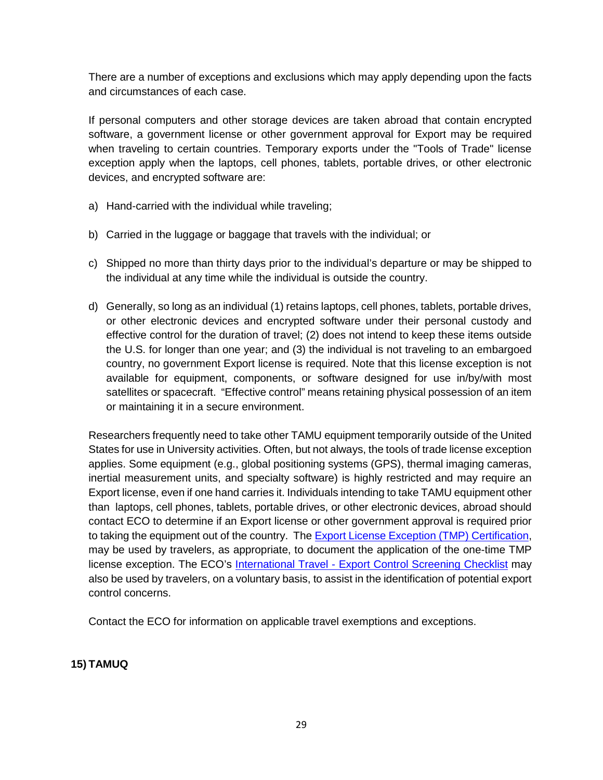There are a number of exceptions and exclusions which may apply depending upon the facts and circumstances of each case.

If personal computers and other storage devices are taken abroad that contain encrypted software, a government license or other government approval for Export may be required when traveling to certain countries. Temporary exports under the "Tools of Trade" license exception apply when the laptops, cell phones, tablets, portable drives, or other electronic devices, and encrypted software are:

- a) Hand-carried with the individual while traveling;
- b) Carried in the luggage or baggage that travels with the individual; or
- c) Shipped no more than thirty days prior to the individual's departure or may be shipped to the individual at any time while the individual is outside the country.
- d) Generally, so long as an individual (1) retains laptops, cell phones, tablets, portable drives, or other electronic devices and encrypted software under their personal custody and effective control for the duration of travel; (2) does not intend to keep these items outside the U.S. for longer than one year; and (3) the individual is not traveling to an embargoed country, no government Export license is required. Note that this license exception is not available for equipment, components, or software designed for use in/by/with most satellites or spacecraft. "Effective control" means retaining physical possession of an item or maintaining it in a secure environment.

Researchers frequently need to take other TAMU equipment temporarily outside of the United States for use in University activities. Often, but not always, the tools of trade license exception applies. Some equipment (e.g., global positioning systems (GPS), thermal imaging cameras, inertial measurement units, and specialty software) is highly restricted and may require an Export license, even if one hand carries it. Individuals intending to take TAMU equipment other than laptops, cell phones, tablets, portable drives, or other electronic devices, abroad should contact ECO to determine if an Export license or other government approval is required prior to taking the equipment out of the country. The **Export License Exception (TMP) Certification**, may be used by travelers, as appropriate, to document the application of the one-time TMP license exception. The ECO's International Travel - Export [Control Screening Checklist](https://vpr.tamu.edu/resources/export-controls/checklist-international-travel) may also be used by travelers, on a voluntary basis, to assist in the identification of potential export control concerns.

Contact the ECO for information on applicable travel exemptions and exceptions.

## **15) TAMUQ**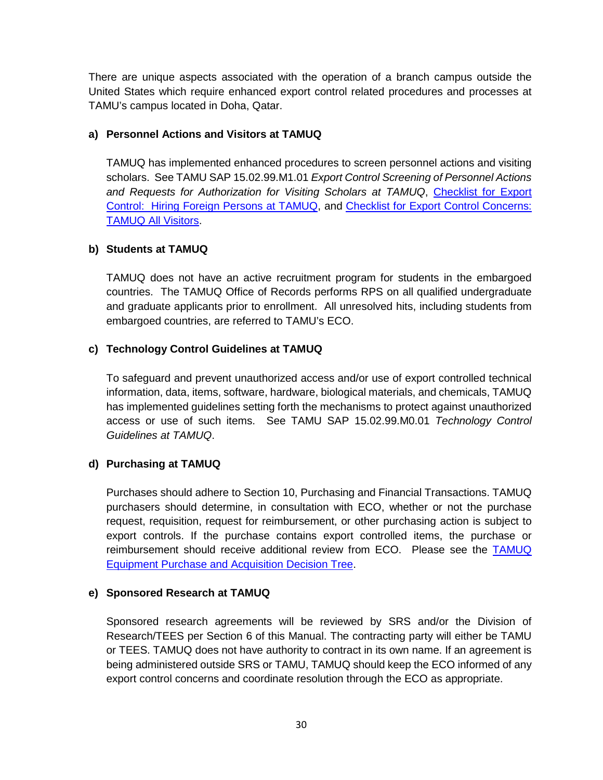There are unique aspects associated with the operation of a branch campus outside the United States which require enhanced export control related procedures and processes at TAMU's campus located in Doha, Qatar.

## **a) Personnel Actions and Visitors at TAMUQ**

TAMUQ has implemented enhanced procedures to screen personnel actions and visiting scholars. See TAMU SAP 15.02.99.M1.01 *Export Control Screening of Personnel Actions and Requests for Authorization for Visiting Scholars at TAMUQ*, [Checklist for Export](https://vpr.tamu.edu/initiate-research/export-controls/checklist-for-export-control-hiring-foreign-persons-at-tamuq.pdf)  [Control: Hiring Foreign Persons](https://vpr.tamu.edu/initiate-research/export-controls/checklist-for-export-control-hiring-foreign-persons-at-tamuq.pdf) at TAMUQ, and [Checklist for Export Control Concerns:](https://vpr.tamu.edu/initiate-research/export-controls/checklist-for-export-control-tamuq-all-visitors.pdf)  [TAMUQ All Visitors.](https://vpr.tamu.edu/initiate-research/export-controls/checklist-for-export-control-tamuq-all-visitors.pdf)

#### **b) Students at TAMUQ**

TAMUQ does not have an active recruitment program for students in the embargoed countries. The TAMUQ Office of Records performs RPS on all qualified undergraduate and graduate applicants prior to enrollment. All unresolved hits, including students from embargoed countries, are referred to TAMU's ECO.

### **c) Technology Control Guidelines at TAMUQ**

To safeguard and prevent unauthorized access and/or use of export controlled technical information, data, items, software, hardware, biological materials, and chemicals, TAMUQ has implemented guidelines setting forth the mechanisms to protect against unauthorized access or use of such items. See TAMU SAP 15.02.99.M0.01 *Technology Control Guidelines at TAMUQ*.

## **d) Purchasing at TAMUQ**

Purchases should adhere to Section 10, Purchasing and Financial Transactions. TAMUQ purchasers should determine, in consultation with ECO, whether or not the purchase request, requisition, request for reimbursement, or other purchasing action is subject to export controls. If the purchase contains export controlled items, the purchase or reimbursement should receive additional review from ECO. Please see the [TAMUQ](https://vpr.tamu.edu/initiate-research/export-controls/tamuq-equipment-purchase-and-acquisition.pdf)  [Equipment Purchase and Acquisition Decision Tree.](https://vpr.tamu.edu/initiate-research/export-controls/tamuq-equipment-purchase-and-acquisition.pdf)

#### **e) Sponsored Research at TAMUQ**

Sponsored research agreements will be reviewed by SRS and/or the Division of Research/TEES per Section 6 of this Manual. The contracting party will either be TAMU or TEES. TAMUQ does not have authority to contract in its own name. If an agreement is being administered outside SRS or TAMU, TAMUQ should keep the ECO informed of any export control concerns and coordinate resolution through the ECO as appropriate.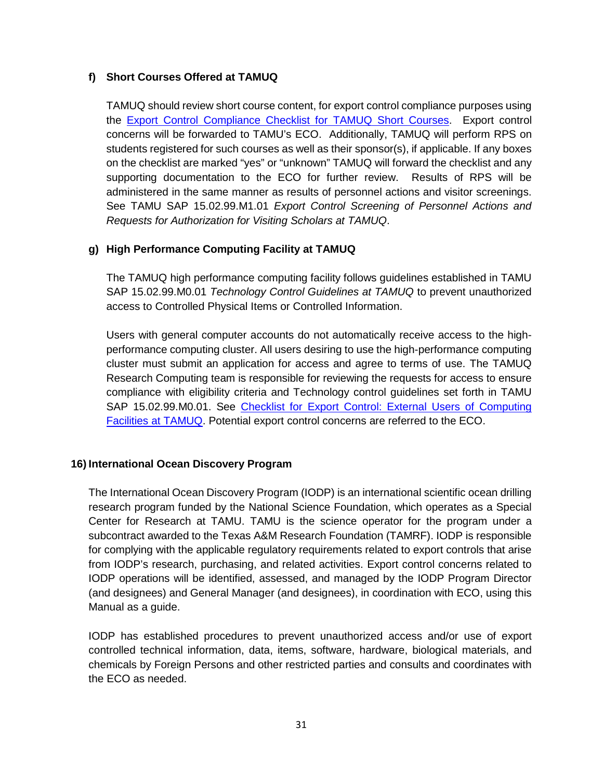### **f) Short Courses Offered at TAMUQ**

TAMUQ should review short course content, for export control compliance purposes using the [Export Control Compliance Checklist for TAMUQ Short Courses.](https://vpr.tamu.edu/initiate-research/export-controls/export-control-compliance-checklist-for-tamuq-short-courses.pdf) Export control concerns will be forwarded to TAMU's ECO. Additionally, TAMUQ will perform RPS on students registered for such courses as well as their sponsor(s), if applicable. If any boxes on the checklist are marked "yes" or "unknown" TAMUQ will forward the checklist and any supporting documentation to the ECO for further review. Results of RPS will be administered in the same manner as results of personnel actions and visitor screenings. See TAMU SAP 15.02.99.M1.01 *Export Control Screening of Personnel Actions and Requests for Authorization for Visiting Scholars at TAMUQ*.

### **g) High Performance Computing Facility at TAMUQ**

The TAMUQ high performance computing facility follows guidelines established in TAMU SAP 15.02.99.M0.01 *Technology Control Guidelines at TAMUQ* to prevent unauthorized access to Controlled Physical Items or Controlled Information.

Users with general computer accounts do not automatically receive access to the highperformance computing cluster. All users desiring to use the high-performance computing cluster must submit an application for access and agree to terms of use. The TAMUQ Research Computing team is responsible for reviewing the requests for access to ensure compliance with eligibility criteria and Technology control guidelines set forth in TAMU SAP 15.02.99.M0.01. See [Checklist for Export Control: External Users of Computing](https://vpr.tamu.edu/initiate-research/export-controls/checklist-for-export-control-external-users-of-computing-facilities-at-tamuq.pdf)  [Facilities at TAMUQ.](https://vpr.tamu.edu/initiate-research/export-controls/checklist-for-export-control-external-users-of-computing-facilities-at-tamuq.pdf) Potential export control concerns are referred to the ECO.

#### **16) International Ocean Discovery Program**

The International Ocean Discovery Program (IODP) is an international scientific ocean drilling research program funded by the National Science Foundation, which operates as a Special Center for Research at TAMU. TAMU is the science operator for the program under a subcontract awarded to the Texas A&M Research Foundation (TAMRF). IODP is responsible for complying with the applicable regulatory requirements related to export controls that arise from IODP's research, purchasing, and related activities. Export control concerns related to IODP operations will be identified, assessed, and managed by the IODP Program Director (and designees) and General Manager (and designees), in coordination with ECO, using this Manual as a guide.

IODP has established procedures to prevent unauthorized access and/or use of export controlled technical information, data, items, software, hardware, biological materials, and chemicals by Foreign Persons and other restricted parties and consults and coordinates with the ECO as needed.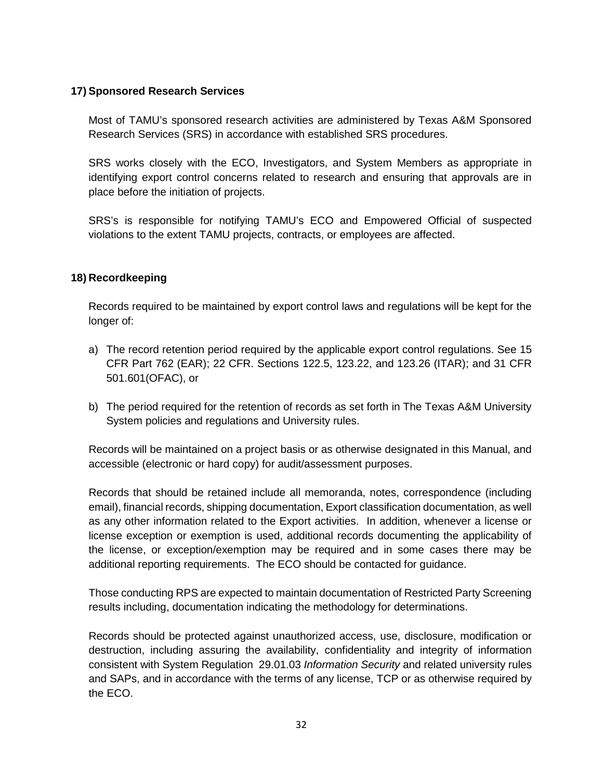#### **17) Sponsored Research Services**

Most of TAMU's sponsored research activities are administered by Texas A&M Sponsored Research Services (SRS) in accordance with established SRS procedures.

SRS works closely with the ECO, Investigators, and System Members as appropriate in identifying export control concerns related to research and ensuring that approvals are in place before the initiation of projects.

SRS's is responsible for notifying TAMU's ECO and Empowered Official of suspected violations to the extent TAMU projects, contracts, or employees are affected.

### **18) Recordkeeping**

Records required to be maintained by export control laws and regulations will be kept for the longer of:

- a) The record retention period required by the applicable export control regulations. See 15 CFR Part 762 (EAR); 22 CFR. Sections 122.5, 123.22, and 123.26 (ITAR); and 31 CFR 501.601(OFAC), or
- b) The period required for the retention of records as set forth in The Texas A&M University System policies and regulations and University rules.

Records will be maintained on a project basis or as otherwise designated in this Manual, and accessible (electronic or hard copy) for audit/assessment purposes.

Records that should be retained include all memoranda, notes, correspondence (including email), financial records, shipping documentation, Export classification documentation, as well as any other information related to the Export activities. In addition, whenever a license or license exception or exemption is used, additional records documenting the applicability of the license, or exception/exemption may be required and in some cases there may be additional reporting requirements. The ECO should be contacted for guidance.

Those conducting RPS are expected to maintain documentation of Restricted Party Screening results including, documentation indicating the methodology for determinations.

Records should be protected against unauthorized access, use, disclosure, modification or destruction, including assuring the availability, confidentiality and integrity of information consistent with System Regulation 29.01.03 *Information Security* and related university rules and SAPs, and in accordance with the terms of any license, TCP or as otherwise required by the ECO.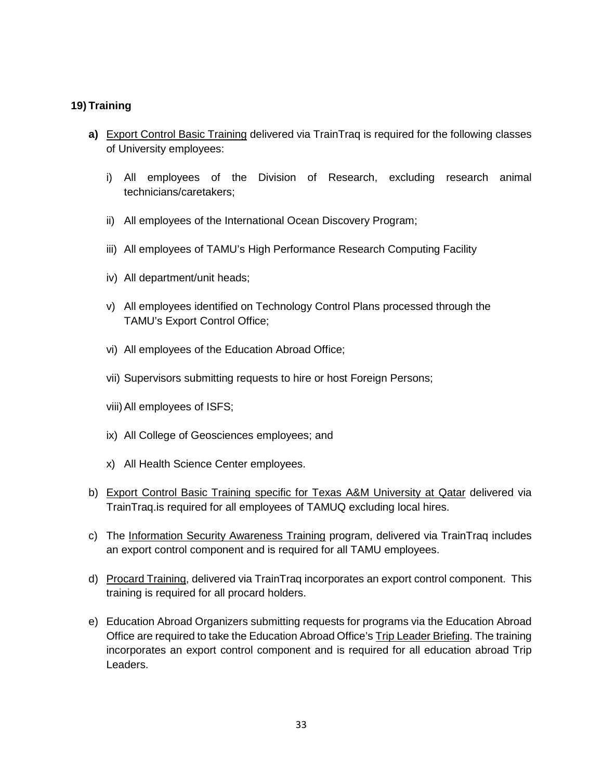#### **19) Training**

- **a)** Export Control Basic Training delivered via TrainTraq is required for the following classes of University employees:
	- i) All employees of the Division of Research, excluding research animal technicians/caretakers;
	- ii) All employees of the International Ocean Discovery Program;
	- iii) All employees of TAMU's High Performance Research Computing Facility
	- iv) All department/unit heads;
	- v) All employees identified on Technology Control Plans processed through the TAMU's Export Control Office;
	- vi) All employees of the Education Abroad Office;
	- vii) Supervisors submitting requests to hire or host Foreign Persons;
	- viii)All employees of ISFS;
	- ix) All College of Geosciences employees; and
	- x) All Health Science Center employees.
- b) Export Control Basic Training specific for Texas A&M University at Qatar delivered via TrainTraq.is required for all employees of TAMUQ excluding local hires.
- c) The Information Security Awareness Training program, delivered via TrainTraq includes an export control component and is required for all TAMU employees.
- d) Procard Training, delivered via TrainTraq incorporates an export control component. This training is required for all procard holders.
- e) Education Abroad Organizers submitting requests for programs via the Education Abroad Office are required to take the Education Abroad Office's Trip Leader Briefing. The training incorporates an export control component and is required for all education abroad Trip Leaders.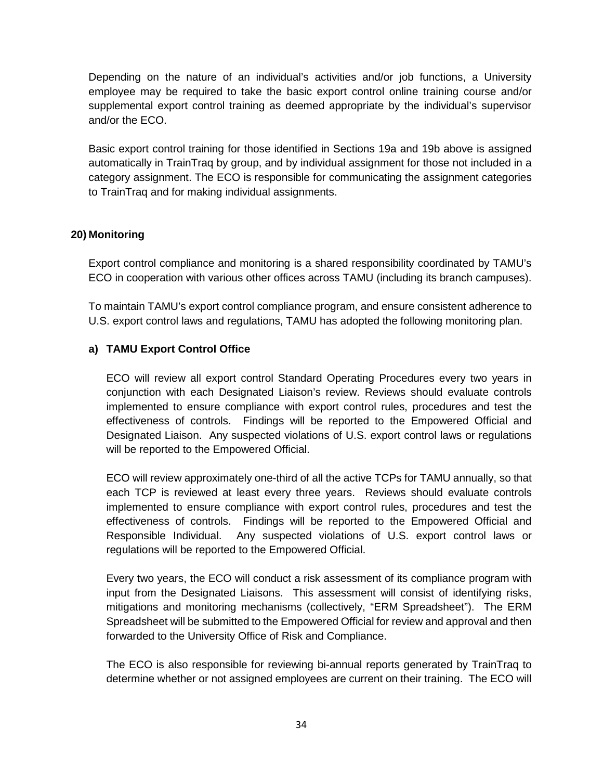Depending on the nature of an individual's activities and/or job functions, a University employee may be required to take the basic export control online training course and/or supplemental export control training as deemed appropriate by the individual's supervisor and/or the ECO.

Basic export control training for those identified in Sections 19a and 19b above is assigned automatically in TrainTraq by group, and by individual assignment for those not included in a category assignment. The ECO is responsible for communicating the assignment categories to TrainTraq and for making individual assignments.

### **20) Monitoring**

Export control compliance and monitoring is a shared responsibility coordinated by TAMU's ECO in cooperation with various other offices across TAMU (including its branch campuses).

To maintain TAMU's export control compliance program, and ensure consistent adherence to U.S. export control laws and regulations, TAMU has adopted the following monitoring plan.

## **a) TAMU Export Control Office**

ECO will review all export control Standard Operating Procedures every two years in conjunction with each Designated Liaison's review. Reviews should evaluate controls implemented to ensure compliance with export control rules, procedures and test the effectiveness of controls. Findings will be reported to the Empowered Official and Designated Liaison. Any suspected violations of U.S. export control laws or regulations will be reported to the Empowered Official.

ECO will review approximately one-third of all the active TCPs for TAMU annually, so that each TCP is reviewed at least every three years. Reviews should evaluate controls implemented to ensure compliance with export control rules, procedures and test the effectiveness of controls. Findings will be reported to the Empowered Official and Responsible Individual. Any suspected violations of U.S. export control laws or regulations will be reported to the Empowered Official.

Every two years, the ECO will conduct a risk assessment of its compliance program with input from the Designated Liaisons. This assessment will consist of identifying risks, mitigations and monitoring mechanisms (collectively, "ERM Spreadsheet"). The ERM Spreadsheet will be submitted to the Empowered Official for review and approval and then forwarded to the University Office of Risk and Compliance.

The ECO is also responsible for reviewing bi-annual reports generated by TrainTraq to determine whether or not assigned employees are current on their training. The ECO will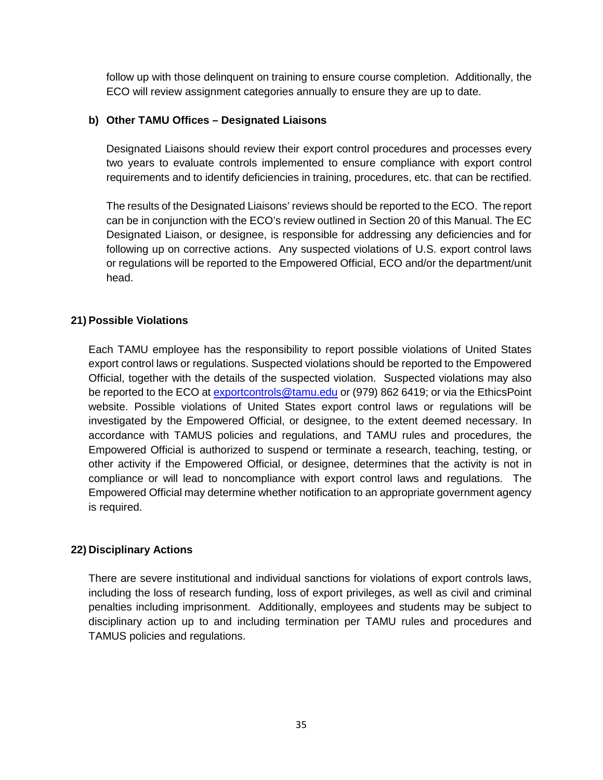follow up with those delinquent on training to ensure course completion. Additionally, the ECO will review assignment categories annually to ensure they are up to date.

#### **b) Other TAMU Offices – Designated Liaisons**

Designated Liaisons should review their export control procedures and processes every two years to evaluate controls implemented to ensure compliance with export control requirements and to identify deficiencies in training, procedures, etc. that can be rectified.

The results of the Designated Liaisons' reviews should be reported to the ECO. The report can be in conjunction with the ECO's review outlined in Section 20 of this Manual. The EC Designated Liaison, or designee, is responsible for addressing any deficiencies and for following up on corrective actions. Any suspected violations of U.S. export control laws or regulations will be reported to the Empowered Official, ECO and/or the department/unit head.

### **21) Possible Violations**

Each TAMU employee has the responsibility to report possible violations of United States export control laws or regulations. Suspected violations should be reported to the Empowered Official, together with the details of the suspected violation. Suspected violations may also be reported to the ECO at [exportcontrols@tamu.edu](mailto:exportcontrols@tamu.edu) or (979) 862 6419; or via the EthicsPoint website. Possible violations of United States export control laws or regulations will be investigated by the Empowered Official, or designee, to the extent deemed necessary. In accordance with TAMUS policies and regulations, and TAMU rules and procedures, the Empowered Official is authorized to suspend or terminate a research, teaching, testing, or other activity if the Empowered Official, or designee, determines that the activity is not in compliance or will lead to noncompliance with export control laws and regulations. The Empowered Official may determine whether notification to an appropriate government agency is required.

#### **22) Disciplinary Actions**

There are severe institutional and individual sanctions for violations of export controls laws, including the loss of research funding, loss of export privileges, as well as civil and criminal penalties including imprisonment. Additionally, employees and students may be subject to disciplinary action up to and including termination per TAMU rules and procedures and TAMUS policies and regulations.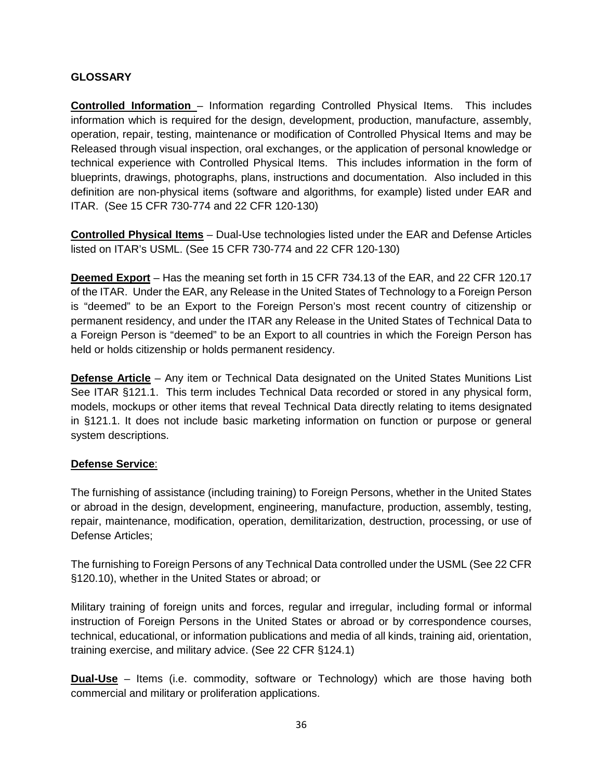### **GLOSSARY**

**Controlled Information** – Information regarding Controlled Physical Items. This includes information which is required for the design, development, production, manufacture, assembly, operation, repair, testing, maintenance or modification of Controlled Physical Items and may be Released through visual inspection, oral exchanges, or the application of personal knowledge or technical experience with Controlled Physical Items. This includes information in the form of blueprints, drawings, photographs, plans, instructions and documentation. Also included in this definition are non-physical items (software and algorithms, for example) listed under EAR and ITAR. (See 15 CFR 730-774 and 22 CFR 120-130)

**Controlled Physical Items** – Dual-Use technologies listed under the EAR and Defense Articles listed on ITAR's USML. (See 15 CFR 730-774 and 22 CFR 120-130)

**Deemed Export** – Has the meaning set forth in 15 CFR 734.13 of the EAR, and 22 CFR 120.17 of the ITAR. Under the EAR, any Release in the United States of Technology to a Foreign Person is "deemed" to be an Export to the Foreign Person's most recent country of citizenship or permanent residency, and under the ITAR any Release in the United States of Technical Data to a Foreign Person is "deemed" to be an Export to all countries in which the Foreign Person has held or holds citizenship or holds permanent residency.

**Defense Article** – Any item or Technical Data designated on the United States Munitions List See ITAR §121.1. This term includes Technical Data recorded or stored in any physical form, models, mockups or other items that reveal Technical Data directly relating to items designated in §121.1. It does not include basic marketing information on function or purpose or general system descriptions.

## **Defense Service**:

The furnishing of assistance (including training) to Foreign Persons, whether in the United States or abroad in the design, development, engineering, manufacture, production, assembly, testing, repair, maintenance, modification, operation, demilitarization, destruction, processing, or use of Defense Articles;

The furnishing to Foreign Persons of any Technical Data controlled under the USML (See 22 CFR §120.10), whether in the United States or abroad; or

Military training of foreign units and forces, regular and irregular, including formal or informal instruction of Foreign Persons in the United States or abroad or by correspondence courses, technical, educational, or information publications and media of all kinds, training aid, orientation, training exercise, and military advice. (See 22 CFR §124.1)

**Dual-Use** – Items (i.e. commodity, software or Technology) which are those having both commercial and military or proliferation applications.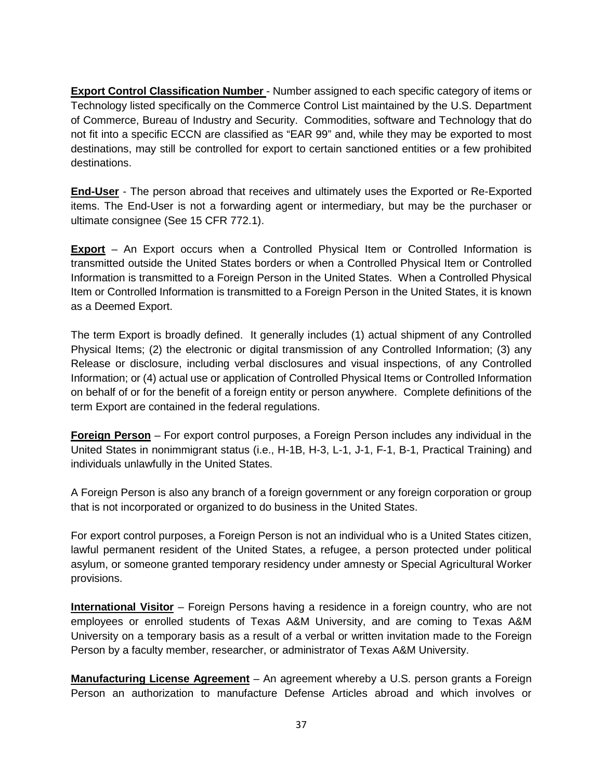**Export Control Classification Number** - Number assigned to each specific category of items or Technology listed specifically on the Commerce Control List maintained by the U.S. Department of Commerce, Bureau of Industry and Security. Commodities, software and Technology that do not fit into a specific ECCN are classified as "EAR 99" and, while they may be exported to most destinations, may still be controlled for export to certain sanctioned entities or a few prohibited destinations.

**End-User** - The person abroad that receives and ultimately uses the Exported or Re-Exported items. The End-User is not a forwarding agent or intermediary, but may be the purchaser or ultimate consignee (See 15 CFR 772.1).

**Export** – An Export occurs when a Controlled Physical Item or Controlled Information is transmitted outside the United States borders or when a Controlled Physical Item or Controlled Information is transmitted to a Foreign Person in the United States. When a Controlled Physical Item or Controlled Information is transmitted to a Foreign Person in the United States, it is known as a Deemed Export.

The term Export is broadly defined. It generally includes (1) actual shipment of any Controlled Physical Items; (2) the electronic or digital transmission of any Controlled Information; (3) any Release or disclosure, including verbal disclosures and visual inspections, of any Controlled Information; or (4) actual use or application of Controlled Physical Items or Controlled Information on behalf of or for the benefit of a foreign entity or person anywhere. Complete definitions of the term Export are contained in the federal regulations.

**Foreign Person** – For export control purposes, a Foreign Person includes any individual in the United States in nonimmigrant status (i.e., H-1B, H-3, L-1, J-1, F-1, B-1, Practical Training) and individuals unlawfully in the United States.

A Foreign Person is also any branch of a foreign government or any foreign corporation or group that is not incorporated or organized to do business in the United States.

For export control purposes, a Foreign Person is not an individual who is a United States citizen, lawful permanent resident of the United States, a refugee, a person protected under political asylum, or someone granted temporary residency under amnesty or Special Agricultural Worker provisions.

**International Visitor** – Foreign Persons having a residence in a foreign country, who are not employees or enrolled students of Texas A&M University, and are coming to Texas A&M University on a temporary basis as a result of a verbal or written invitation made to the Foreign Person by a faculty member, researcher, or administrator of Texas A&M University.

**Manufacturing License Agreement** – An agreement whereby a U.S. person grants a Foreign Person an authorization to manufacture Defense Articles abroad and which involves or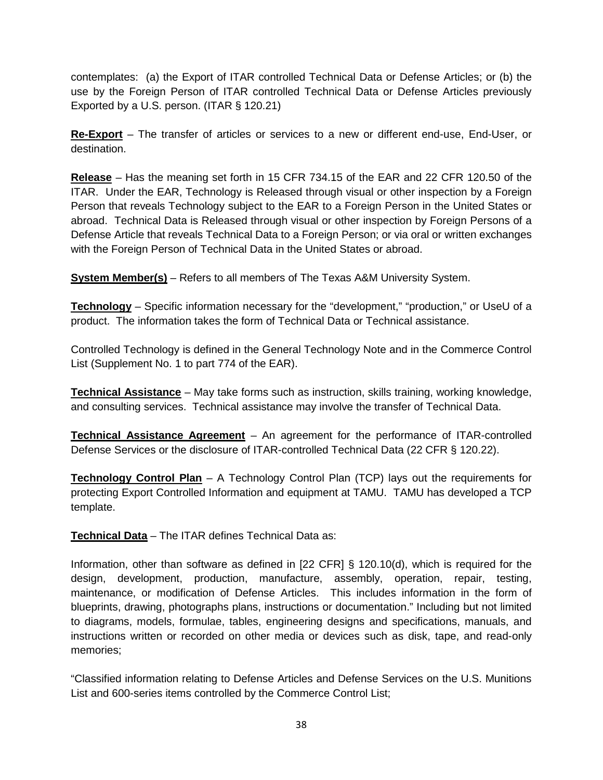contemplates: (a) the Export of ITAR controlled Technical Data or Defense Articles; or (b) the use by the Foreign Person of ITAR controlled Technical Data or Defense Articles previously Exported by a U.S. person. (ITAR § 120.21)

**Re-Export** – The transfer of articles or services to a new or different end-use, End-User, or destination.

**Release** – Has the meaning set forth in 15 CFR 734.15 of the EAR and 22 CFR 120.50 of the ITAR. Under the EAR, Technology is Released through visual or other inspection by a Foreign Person that reveals Technology subject to the EAR to a Foreign Person in the United States or abroad. Technical Data is Released through visual or other inspection by Foreign Persons of a Defense Article that reveals Technical Data to a Foreign Person; or via oral or written exchanges with the Foreign Person of Technical Data in the United States or abroad.

**System Member(s)** – Refers to all members of The Texas A&M University System.

**Technology** – Specific information necessary for the "development," "production," or UseU of a product. The information takes the form of Technical Data or Technical assistance.

Controlled Technology is defined in the General Technology Note and in the Commerce Control List (Supplement No. 1 to part 774 of the EAR).

**Technical Assistance** – May take forms such as instruction, skills training, working knowledge, and consulting services. Technical assistance may involve the transfer of Technical Data.

**Technical Assistance Agreement** – An agreement for the performance of ITAR-controlled Defense Services or the disclosure of ITAR-controlled Technical Data (22 CFR § 120.22).

**Technology Control Plan** – A Technology Control Plan (TCP) lays out the requirements for protecting Export Controlled Information and equipment at TAMU. TAMU has developed a TCP template.

**Technical Data** – The ITAR defines Technical Data as:

Information, other than software as defined in [22 CFR] § 120.10(d), which is required for the design, development, production, manufacture, assembly, operation, repair, testing, maintenance, or modification of Defense Articles. This includes information in the form of blueprints, drawing, photographs plans, instructions or documentation." Including but not limited to diagrams, models, formulae, tables, engineering designs and specifications, manuals, and instructions written or recorded on other media or devices such as disk, tape, and read-only memories;

"Classified information relating to Defense Articles and Defense Services on the U.S. Munitions List and 600-series items controlled by the Commerce Control List;